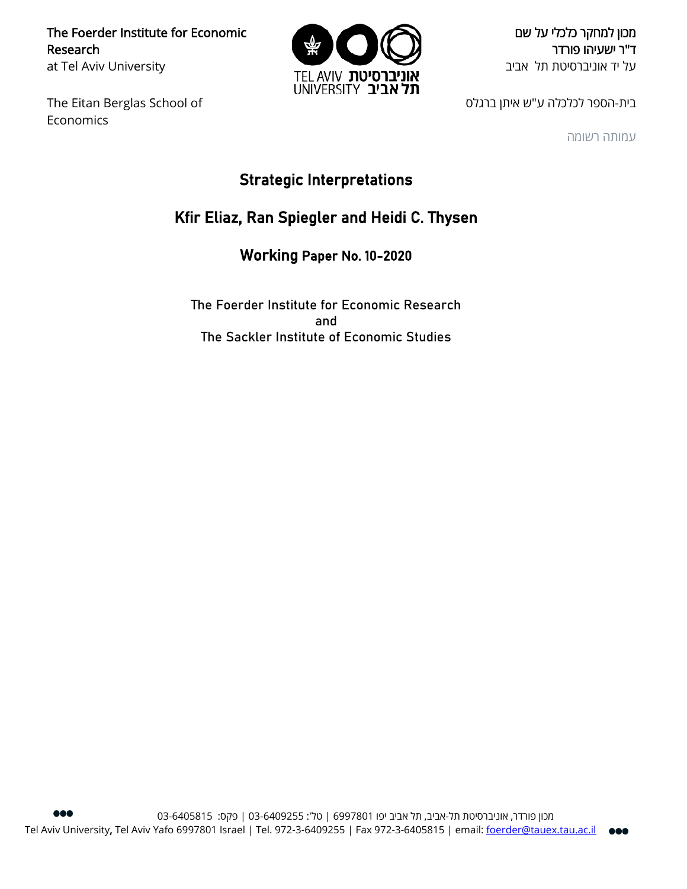The Foerder Institute for Economic Research at Tel Aviv University

The Eitan Berglas School of Economics



מכון למחקר כלכלי על שם ד"ר ישעיהו פורדר על יד אוניברסיטת תל אביב

בית-הספר לכלכלה ע"ש איתן ברגלס

עמותה רשומה

# Strategic Interpretations

# Kfir Eliaz, Ran Spiegler and Heidi C. Thysen

Working Paper No. 10-2020

The Foerder Institute for Economic Research and The Sackler Institute of Economic Studies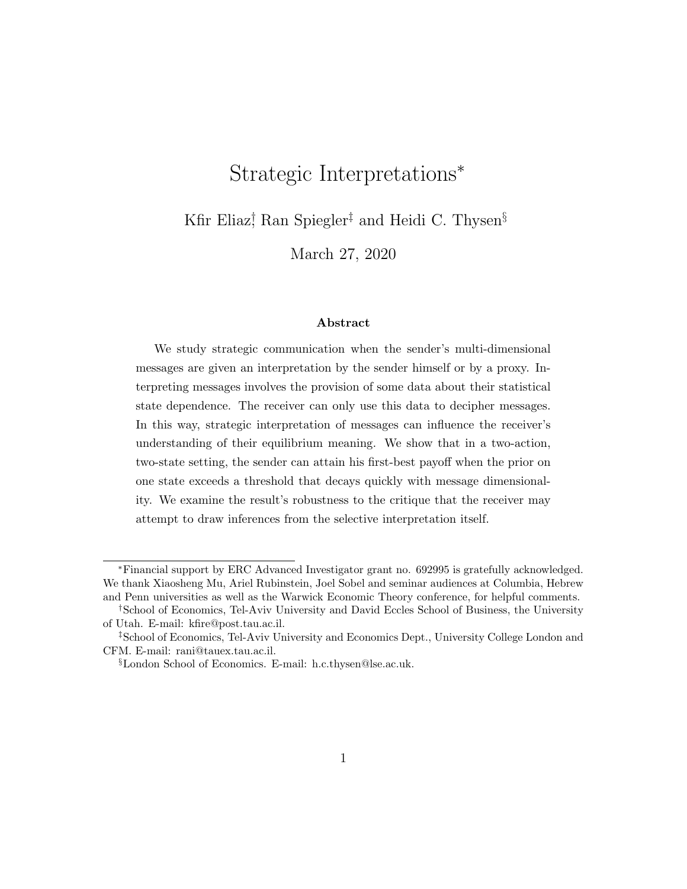# Strategic Interpretations<sup>∗</sup>

Kfir Eliaz<sup>†</sup> Ran Spiegler<sup>‡</sup> and Heidi C. Thysen<sup>§</sup>

March 27, 2020

#### Abstract

We study strategic communication when the sender's multi-dimensional messages are given an interpretation by the sender himself or by a proxy. Interpreting messages involves the provision of some data about their statistical state dependence. The receiver can only use this data to decipher messages. In this way, strategic interpretation of messages can influence the receiver's understanding of their equilibrium meaning. We show that in a two-action, two-state setting, the sender can attain his first-best payoff when the prior on one state exceeds a threshold that decays quickly with message dimensionality. We examine the result's robustness to the critique that the receiver may attempt to draw inferences from the selective interpretation itself.

<sup>∗</sup>Financial support by ERC Advanced Investigator grant no. 692995 is gratefully acknowledged. We thank Xiaosheng Mu, Ariel Rubinstein, Joel Sobel and seminar audiences at Columbia, Hebrew and Penn universities as well as the Warwick Economic Theory conference, for helpful comments.

<sup>†</sup>School of Economics, Tel-Aviv University and David Eccles School of Business, the University of Utah. E-mail: kfire@post.tau.ac.il.

<sup>‡</sup>School of Economics, Tel-Aviv University and Economics Dept., University College London and CFM. E-mail: rani@tauex.tau.ac.il.

<sup>§</sup>London School of Economics. E-mail: h.c.thysen@lse.ac.uk.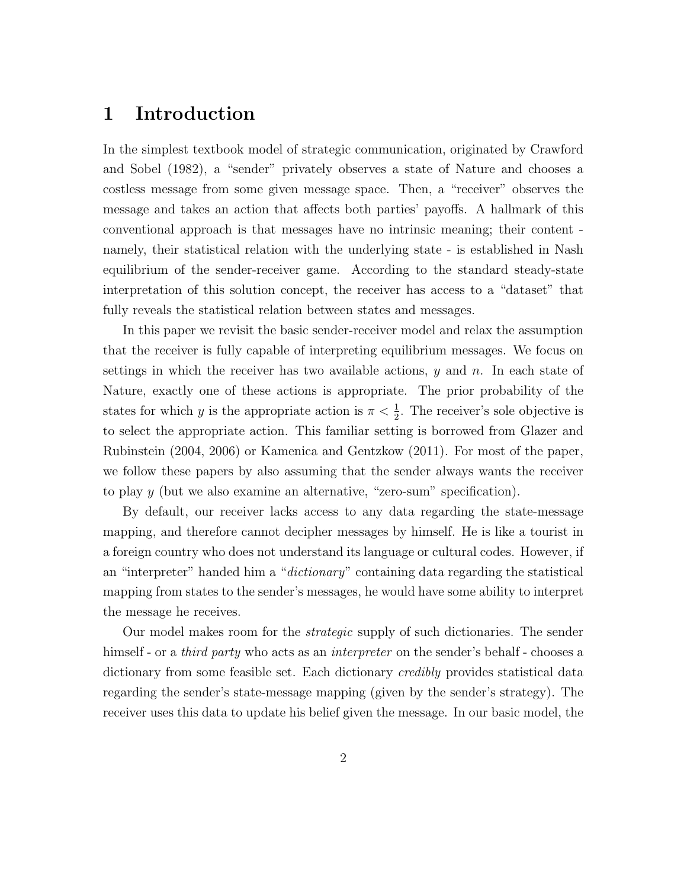### 1 Introduction

In the simplest textbook model of strategic communication, originated by Crawford and Sobel (1982), a "sender" privately observes a state of Nature and chooses a costless message from some given message space. Then, a "receiver" observes the message and takes an action that affects both parties' payoffs. A hallmark of this conventional approach is that messages have no intrinsic meaning; their content namely, their statistical relation with the underlying state - is established in Nash equilibrium of the sender-receiver game. According to the standard steady-state interpretation of this solution concept, the receiver has access to a "dataset" that fully reveals the statistical relation between states and messages.

In this paper we revisit the basic sender-receiver model and relax the assumption that the receiver is fully capable of interpreting equilibrium messages. We focus on settings in which the receiver has two available actions,  $y$  and  $n$ . In each state of Nature, exactly one of these actions is appropriate. The prior probability of the states for which y is the appropriate action is  $\pi < \frac{1}{2}$ . The receiver's sole objective is to select the appropriate action. This familiar setting is borrowed from Glazer and Rubinstein (2004, 2006) or Kamenica and Gentzkow (2011). For most of the paper, we follow these papers by also assuming that the sender always wants the receiver to play y (but we also examine an alternative, "zero-sum" specification).

By default, our receiver lacks access to any data regarding the state-message mapping, and therefore cannot decipher messages by himself. He is like a tourist in a foreign country who does not understand its language or cultural codes. However, if an "interpreter" handed him a "dictionary" containing data regarding the statistical mapping from states to the sender's messages, he would have some ability to interpret the message he receives.

Our model makes room for the strategic supply of such dictionaries. The sender himself - or a *third party* who acts as an *interpreter* on the sender's behalf - chooses a dictionary from some feasible set. Each dictionary credibly provides statistical data regarding the sender's state-message mapping (given by the sender's strategy). The receiver uses this data to update his belief given the message. In our basic model, the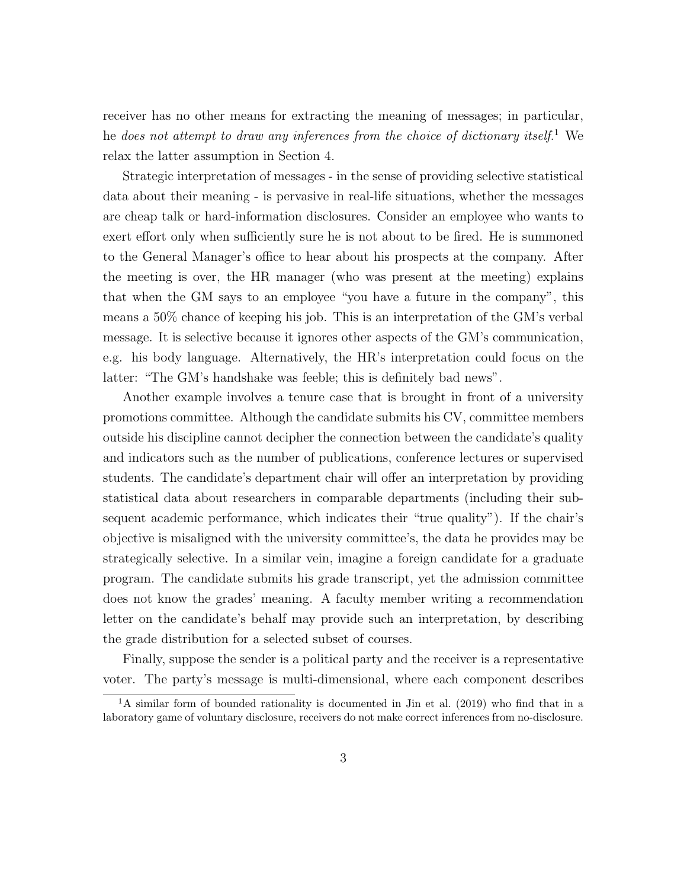receiver has no other means for extracting the meaning of messages; in particular, he does not attempt to draw any inferences from the choice of dictionary itself.<sup>1</sup> We relax the latter assumption in Section 4.

Strategic interpretation of messages - in the sense of providing selective statistical data about their meaning - is pervasive in real-life situations, whether the messages are cheap talk or hard-information disclosures. Consider an employee who wants to exert effort only when sufficiently sure he is not about to be fired. He is summoned to the General Manager's office to hear about his prospects at the company. After the meeting is over, the HR manager (who was present at the meeting) explains that when the GM says to an employee "you have a future in the company", this means a 50% chance of keeping his job. This is an interpretation of the GM's verbal message. It is selective because it ignores other aspects of the GM's communication, e.g. his body language. Alternatively, the HR's interpretation could focus on the latter: "The GM's handshake was feeble; this is definitely bad news".

Another example involves a tenure case that is brought in front of a university promotions committee. Although the candidate submits his CV, committee members outside his discipline cannot decipher the connection between the candidate's quality and indicators such as the number of publications, conference lectures or supervised students. The candidate's department chair will offer an interpretation by providing statistical data about researchers in comparable departments (including their subsequent academic performance, which indicates their "true quality"). If the chair's objective is misaligned with the university committee's, the data he provides may be strategically selective. In a similar vein, imagine a foreign candidate for a graduate program. The candidate submits his grade transcript, yet the admission committee does not know the grades' meaning. A faculty member writing a recommendation letter on the candidate's behalf may provide such an interpretation, by describing the grade distribution for a selected subset of courses.

Finally, suppose the sender is a political party and the receiver is a representative voter. The party's message is multi-dimensional, where each component describes

<sup>&</sup>lt;sup>1</sup>A similar form of bounded rationality is documented in Jin et al. (2019) who find that in a laboratory game of voluntary disclosure, receivers do not make correct inferences from no-disclosure.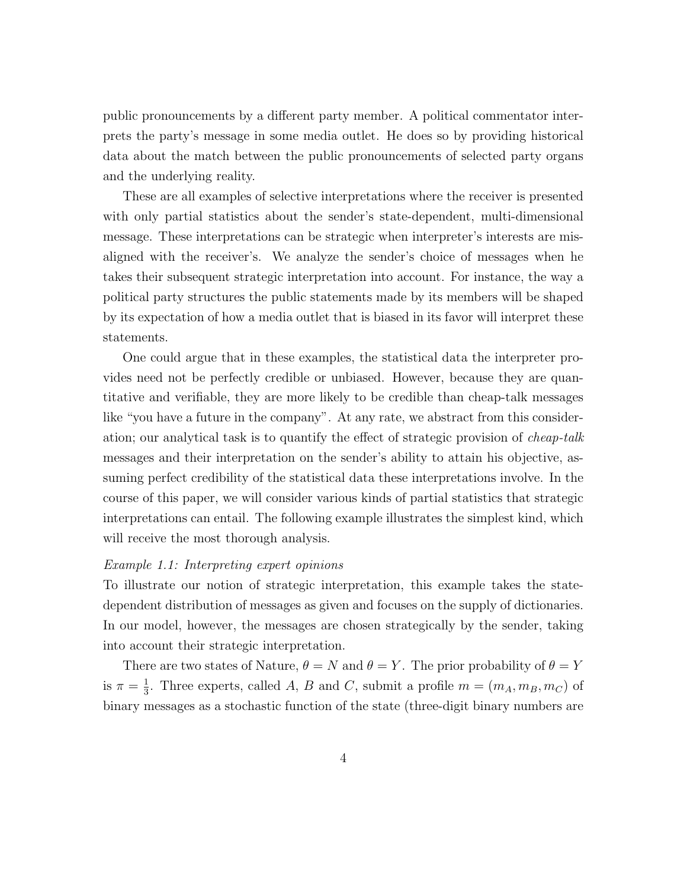public pronouncements by a different party member. A political commentator interprets the party's message in some media outlet. He does so by providing historical data about the match between the public pronouncements of selected party organs and the underlying reality.

These are all examples of selective interpretations where the receiver is presented with only partial statistics about the sender's state-dependent, multi-dimensional message. These interpretations can be strategic when interpreter's interests are misaligned with the receiver's. We analyze the sender's choice of messages when he takes their subsequent strategic interpretation into account. For instance, the way a political party structures the public statements made by its members will be shaped by its expectation of how a media outlet that is biased in its favor will interpret these statements.

One could argue that in these examples, the statistical data the interpreter provides need not be perfectly credible or unbiased. However, because they are quantitative and verifiable, they are more likely to be credible than cheap-talk messages like "you have a future in the company". At any rate, we abstract from this consideration; our analytical task is to quantify the effect of strategic provision of cheap-talk messages and their interpretation on the sender's ability to attain his objective, assuming perfect credibility of the statistical data these interpretations involve. In the course of this paper, we will consider various kinds of partial statistics that strategic interpretations can entail. The following example illustrates the simplest kind, which will receive the most thorough analysis.

#### Example 1.1: Interpreting expert opinions

To illustrate our notion of strategic interpretation, this example takes the statedependent distribution of messages as given and focuses on the supply of dictionaries. In our model, however, the messages are chosen strategically by the sender, taking into account their strategic interpretation.

There are two states of Nature,  $\theta = N$  and  $\theta = Y$ . The prior probability of  $\theta = Y$ is  $\pi = \frac{1}{3}$  $\frac{1}{3}$ . Three experts, called A, B and C, submit a profile  $m = (m_A, m_B, m_C)$  of binary messages as a stochastic function of the state (three-digit binary numbers are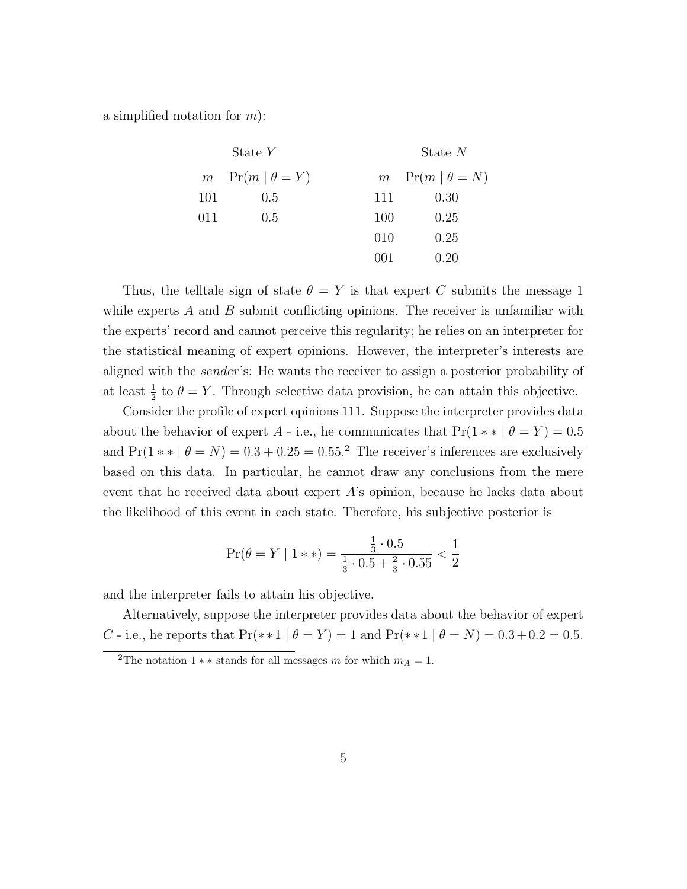a simplified notation for  $m$ ):

State  $Y$  State  $N$  $m \quad Pr(m \mid \theta = Y)$ 101 0.5 011 0.5  $m \text{Pr}(m \mid \theta = N)$ 111 0.30 100 0.25 010 0.25 001 0.20

Thus, the telltale sign of state  $\theta = Y$  is that expert C submits the message 1 while experts  $A$  and  $B$  submit conflicting opinions. The receiver is unfamiliar with the experts' record and cannot perceive this regularity; he relies on an interpreter for the statistical meaning of expert opinions. However, the interpreter's interests are aligned with the sender's: He wants the receiver to assign a posterior probability of at least  $\frac{1}{2}$  to  $\theta = Y$ . Through selective data provision, he can attain this objective.

Consider the profile of expert opinions 111. Suppose the interpreter provides data about the behavior of expert A - i.e., he communicates that  $Pr(1** | \theta = Y) = 0.5$ and  $Pr(1 * | \theta = N) = 0.3 + 0.25 = 0.55$ .<sup>2</sup> The receiver's inferences are exclusively based on this data. In particular, he cannot draw any conclusions from the mere event that he received data about expert A's opinion, because he lacks data about the likelihood of this event in each state. Therefore, his subjective posterior is

$$
\Pr(\theta = Y | 1**) = \frac{\frac{1}{3} \cdot 0.5}{\frac{1}{3} \cdot 0.5 + \frac{2}{3} \cdot 0.55} < \frac{1}{2}
$$

and the interpreter fails to attain his objective.

Alternatively, suppose the interpreter provides data about the behavior of expert C - i.e., he reports that  $Pr(*1 | \theta = Y) = 1$  and  $Pr(*1 | \theta = N) = 0.3 + 0.2 = 0.5$ .

<sup>&</sup>lt;sup>2</sup>The notation 1  $**$  stands for all messages m for which  $m_A = 1$ .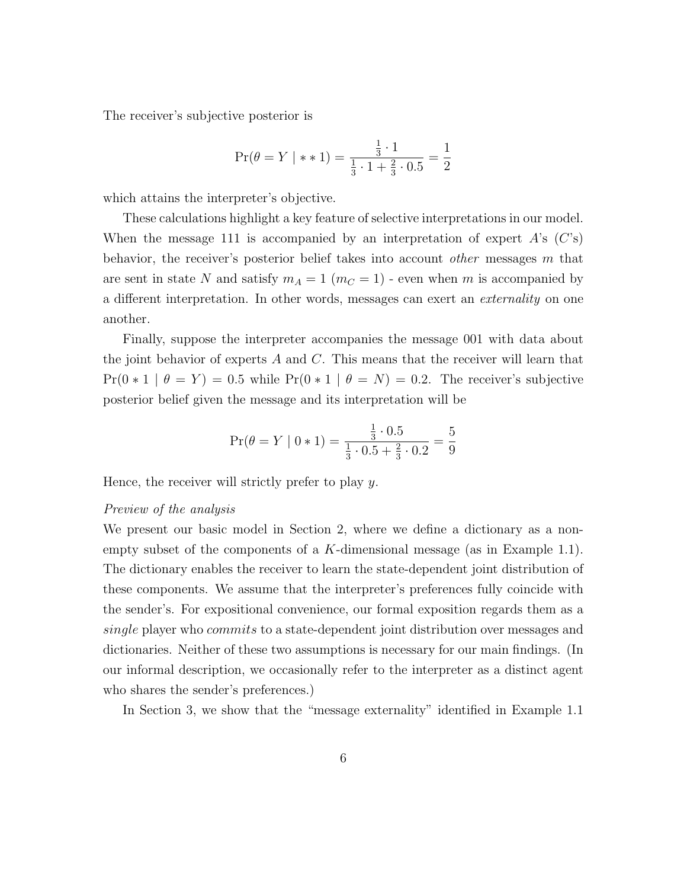The receiver's subjective posterior is

$$
\Pr(\theta = Y \mid *1) = \frac{\frac{1}{3} \cdot 1}{\frac{1}{3} \cdot 1 + \frac{2}{3} \cdot 0.5} = \frac{1}{2}
$$

which attains the interpreter's objective.

These calculations highlight a key feature of selective interpretations in our model. When the message 111 is accompanied by an interpretation of expert  $A$ 's  $(C^s)$ behavior, the receiver's posterior belief takes into account other messages m that are sent in state N and satisfy  $m_A = 1$  ( $m_C = 1$ ) - even when m is accompanied by a different interpretation. In other words, messages can exert an externality on one another.

Finally, suppose the interpreter accompanies the message 001 with data about the joint behavior of experts  $A$  and  $C$ . This means that the receiver will learn that  $Pr(0 \times 1 | \theta = Y) = 0.5$  while  $Pr(0 \times 1 | \theta = N) = 0.2$ . The receiver's subjective posterior belief given the message and its interpretation will be

$$
\Pr(\theta = Y | 0 * 1) = \frac{\frac{1}{3} \cdot 0.5}{\frac{1}{3} \cdot 0.5 + \frac{2}{3} \cdot 0.2} = \frac{5}{9}
$$

Hence, the receiver will strictly prefer to play y.

#### Preview of the analysis

We present our basic model in Section 2, where we define a dictionary as a nonempty subset of the components of a  $K$ -dimensional message (as in Example 1.1). The dictionary enables the receiver to learn the state-dependent joint distribution of these components. We assume that the interpreter's preferences fully coincide with the sender's. For expositional convenience, our formal exposition regards them as a single player who commits to a state-dependent joint distribution over messages and dictionaries. Neither of these two assumptions is necessary for our main findings. (In our informal description, we occasionally refer to the interpreter as a distinct agent who shares the sender's preferences.)

In Section 3, we show that the "message externality" identified in Example 1.1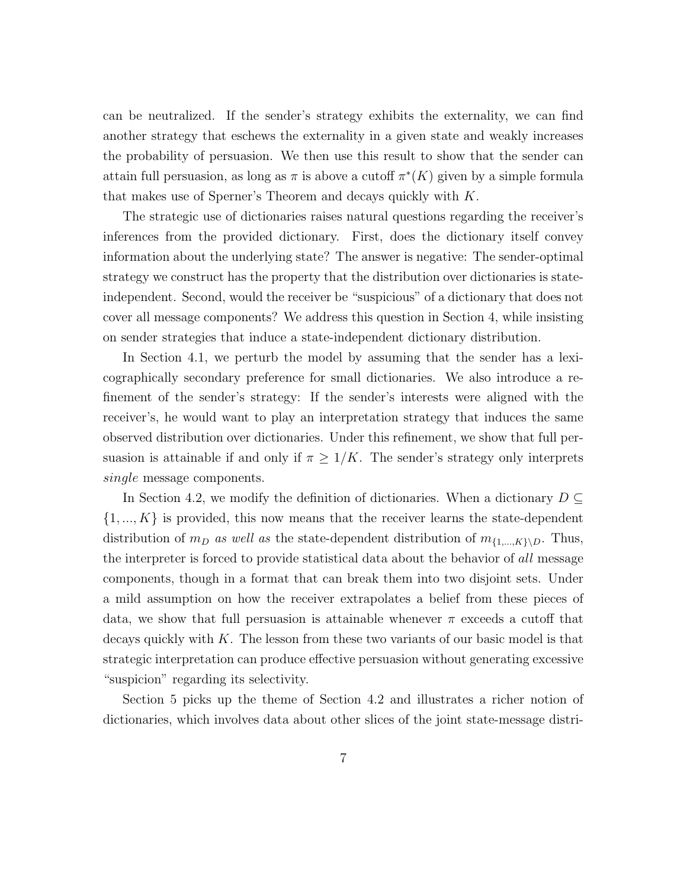can be neutralized. If the sender's strategy exhibits the externality, we can find another strategy that eschews the externality in a given state and weakly increases the probability of persuasion. We then use this result to show that the sender can attain full persuasion, as long as  $\pi$  is above a cutoff  $\pi^*(K)$  given by a simple formula that makes use of Sperner's Theorem and decays quickly with K.

The strategic use of dictionaries raises natural questions regarding the receiver's inferences from the provided dictionary. First, does the dictionary itself convey information about the underlying state? The answer is negative: The sender-optimal strategy we construct has the property that the distribution over dictionaries is stateindependent. Second, would the receiver be "suspicious" of a dictionary that does not cover all message components? We address this question in Section 4, while insisting on sender strategies that induce a state-independent dictionary distribution.

In Section 4.1, we perturb the model by assuming that the sender has a lexicographically secondary preference for small dictionaries. We also introduce a refinement of the sender's strategy: If the sender's interests were aligned with the receiver's, he would want to play an interpretation strategy that induces the same observed distribution over dictionaries. Under this refinement, we show that full persuasion is attainable if and only if  $\pi \geq 1/K$ . The sender's strategy only interprets single message components.

In Section 4.2, we modify the definition of dictionaries. When a dictionary  $D \subseteq$  $\{1, ..., K\}$  is provided, this now means that the receiver learns the state-dependent distribution of  $m_D$  as well as the state-dependent distribution of  $m_{\{1,\dots,K\}\backslash D}$ . Thus, the interpreter is forced to provide statistical data about the behavior of all message components, though in a format that can break them into two disjoint sets. Under a mild assumption on how the receiver extrapolates a belief from these pieces of data, we show that full persuasion is attainable whenever  $\pi$  exceeds a cutoff that decays quickly with  $K$ . The lesson from these two variants of our basic model is that strategic interpretation can produce effective persuasion without generating excessive "suspicion" regarding its selectivity.

Section 5 picks up the theme of Section 4.2 and illustrates a richer notion of dictionaries, which involves data about other slices of the joint state-message distri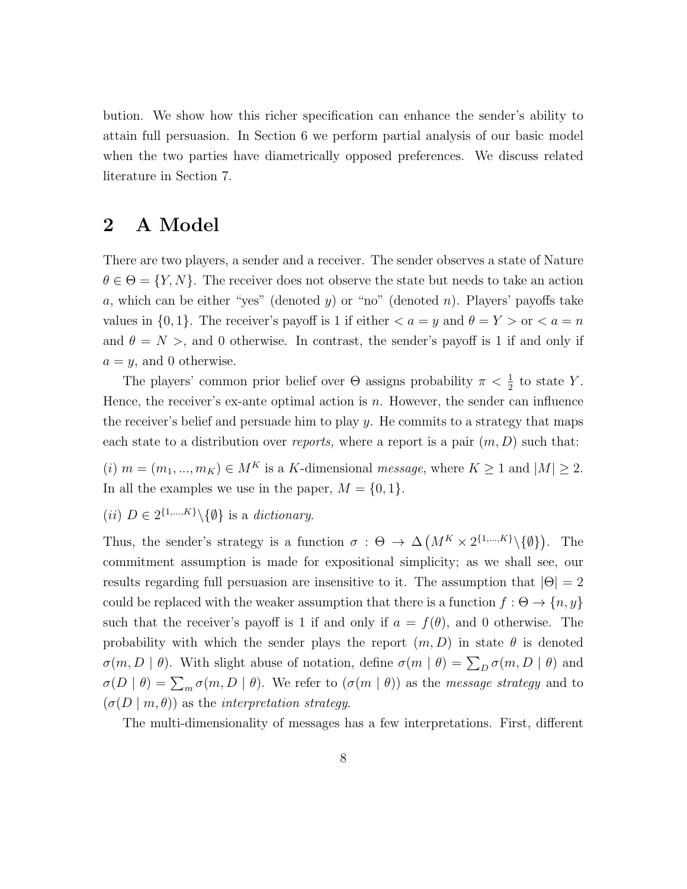bution. We show how this richer specification can enhance the sender's ability to attain full persuasion. In Section 6 we perform partial analysis of our basic model when the two parties have diametrically opposed preferences. We discuss related literature in Section 7.

## 2 A Model

There are two players, a sender and a receiver. The sender observes a state of Nature  $\theta \in \Theta = \{Y, N\}$ . The receiver does not observe the state but needs to take an action a, which can be either "yes" (denoted y) or "no" (denoted n). Players' payoffs take values in  $\{0, 1\}$ . The receiver's payoff is 1 if either  $\langle a = y \rangle$  and  $\theta = Y > 0$  or  $\langle a = n \rangle$ and  $\theta = N >$ , and 0 otherwise. In contrast, the sender's payoff is 1 if and only if  $a = y$ , and 0 otherwise.

The players' common prior belief over  $\Theta$  assigns probability  $\pi < \frac{1}{2}$  to state Y. Hence, the receiver's ex-ante optimal action is  $n$ . However, the sender can influence the receiver's belief and persuade him to play  $y$ . He commits to a strategy that maps each state to a distribution over reports, where a report is a pair  $(m, D)$  such that:

(i)  $m = (m_1, ..., m_K) \in M^K$  is a K-dimensional message, where  $K \ge 1$  and  $|M| \ge 2$ . In all the examples we use in the paper,  $M = \{0, 1\}.$ 

(*ii*)  $D \in 2^{\{1,\ldots,K\}} \backslash \{\emptyset\}$  is a *dictionary*.

Thus, the sender's strategy is a function  $\sigma : \Theta \to \Delta \left( M^K \times 2^{\{1,\dots,K\}} \setminus \{\emptyset\} \right)$ . The commitment assumption is made for expositional simplicity; as we shall see, our results regarding full persuasion are insensitive to it. The assumption that  $|\Theta| = 2$ could be replaced with the weaker assumption that there is a function  $f : \Theta \to \{n, y\}$ such that the receiver's payoff is 1 if and only if  $a = f(\theta)$ , and 0 otherwise. The probability with which the sender plays the report  $(m, D)$  in state  $\theta$  is denoted  $\sigma(m, D \mid \theta)$ . With slight abuse of notation, define  $\sigma(m \mid \theta) = \sum_{D} \sigma(m, D \mid \theta)$  and  $\sigma(D | \theta) = \sum_{m} \sigma(m, D | \theta)$ . We refer to  $(\sigma(m | \theta))$  as the *message strategy* and to  $(\sigma(D \mid m, \theta))$  as the *interpretation strategy*.

The multi-dimensionality of messages has a few interpretations. First, different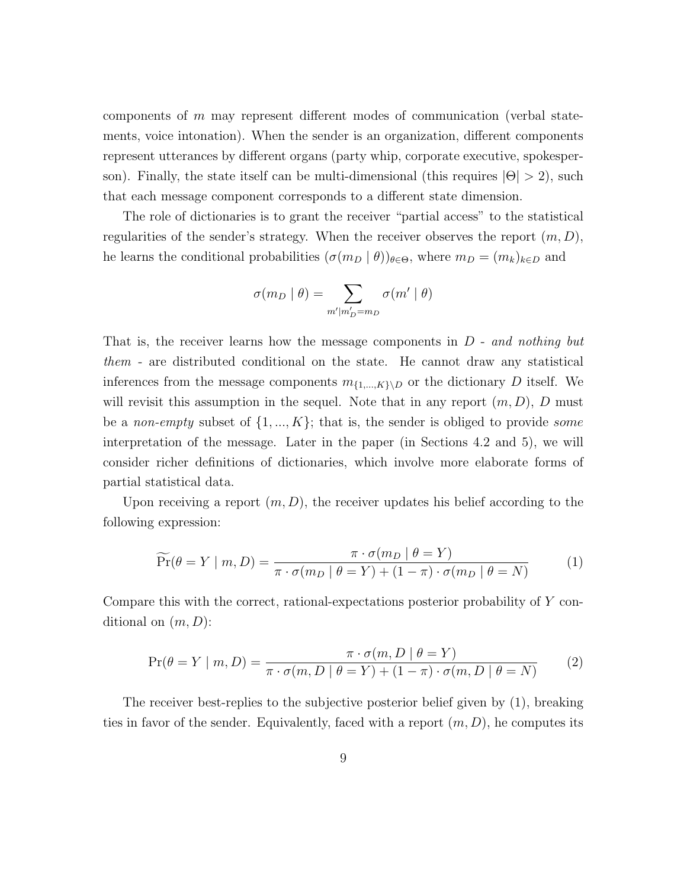components of m may represent different modes of communication (verbal statements, voice intonation). When the sender is an organization, different components represent utterances by different organs (party whip, corporate executive, spokesperson). Finally, the state itself can be multi-dimensional (this requires  $|\Theta| > 2$ ), such that each message component corresponds to a different state dimension.

The role of dictionaries is to grant the receiver "partial access" to the statistical regularities of the sender's strategy. When the receiver observes the report  $(m, D)$ , he learns the conditional probabilities  $(\sigma(m_D \mid \theta))_{\theta \in \Theta}$ , where  $m_D = (m_k)_{k \in D}$  and

$$
\sigma(m_D \mid \theta) = \sum_{m'|m'_D = m_D} \sigma(m' \mid \theta)
$$

That is, the receiver learns how the message components in  $D$  - and nothing but them - are distributed conditional on the state. He cannot draw any statistical inferences from the message components  $m_{\{1,\dots,K\}\setminus D}$  or the dictionary D itself. We will revisit this assumption in the sequel. Note that in any report  $(m, D)$ , D must be a non-empty subset of  $\{1, ..., K\}$ ; that is, the sender is obliged to provide some interpretation of the message. Later in the paper (in Sections 4.2 and 5), we will consider richer definitions of dictionaries, which involve more elaborate forms of partial statistical data.

Upon receiving a report  $(m, D)$ , the receiver updates his belief according to the following expression:

$$
\widetilde{\Pr}(\theta = Y \mid m, D) = \frac{\pi \cdot \sigma(m_D \mid \theta = Y)}{\pi \cdot \sigma(m_D \mid \theta = Y) + (1 - \pi) \cdot \sigma(m_D \mid \theta = N)} \tag{1}
$$

Compare this with the correct, rational-expectations posterior probability of Y conditional on  $(m, D)$ :

$$
\Pr(\theta = Y \mid m, D) = \frac{\pi \cdot \sigma(m, D \mid \theta = Y)}{\pi \cdot \sigma(m, D \mid \theta = Y) + (1 - \pi) \cdot \sigma(m, D \mid \theta = N)}
$$
(2)

The receiver best-replies to the subjective posterior belief given by (1), breaking ties in favor of the sender. Equivalently, faced with a report  $(m, D)$ , he computes its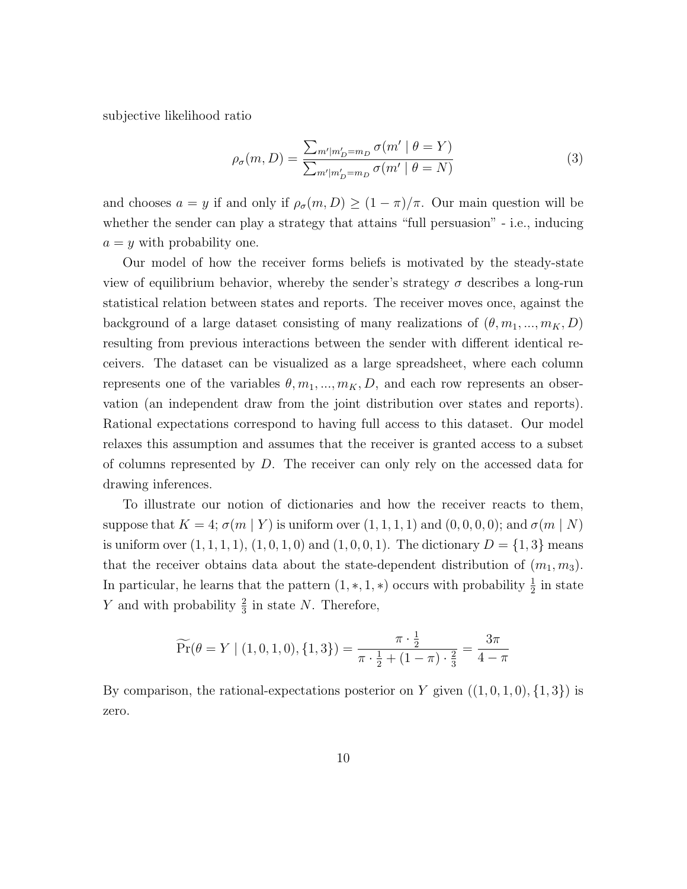subjective likelihood ratio

$$
\rho_{\sigma}(m, D) = \frac{\sum_{m'|m'_{D}=m_{D}} \sigma(m' \mid \theta = Y)}{\sum_{m'|m'_{D}=m_{D}} \sigma(m' \mid \theta = N)}
$$
(3)

and chooses  $a = y$  if and only if  $\rho_{\sigma}(m, D) \ge (1 - \pi)/\pi$ . Our main question will be whether the sender can play a strategy that attains "full persuasion" - i.e., inducing  $a = y$  with probability one.

Our model of how the receiver forms beliefs is motivated by the steady-state view of equilibrium behavior, whereby the sender's strategy  $\sigma$  describes a long-run statistical relation between states and reports. The receiver moves once, against the background of a large dataset consisting of many realizations of  $(\theta, m_1, ..., m_K, D)$ resulting from previous interactions between the sender with different identical receivers. The dataset can be visualized as a large spreadsheet, where each column represents one of the variables  $\theta, m_1, ..., m_K, D$ , and each row represents an observation (an independent draw from the joint distribution over states and reports). Rational expectations correspond to having full access to this dataset. Our model relaxes this assumption and assumes that the receiver is granted access to a subset of columns represented by  $D$ . The receiver can only rely on the accessed data for drawing inferences.

To illustrate our notion of dictionaries and how the receiver reacts to them, suppose that  $K = 4$ ;  $\sigma(m | Y)$  is uniform over  $(1, 1, 1, 1)$  and  $(0, 0, 0, 0)$ ; and  $\sigma(m | N)$ is uniform over  $(1, 1, 1, 1), (1, 0, 1, 0)$  and  $(1, 0, 0, 1)$ . The dictionary  $D = \{1, 3\}$  means that the receiver obtains data about the state-dependent distribution of  $(m_1, m_3)$ . In particular, he learns that the pattern  $(1,*,1,*)$  occurs with probability  $\frac{1}{2}$  in state Y and with probability  $\frac{2}{3}$  in state N. Therefore,

$$
\widetilde{\Pr}(\theta = Y \mid (1, 0, 1, 0), \{1, 3\}) = \frac{\pi \cdot \frac{1}{2}}{\pi \cdot \frac{1}{2} + (1 - \pi) \cdot \frac{2}{3}} = \frac{3\pi}{4 - \pi}
$$

By comparison, the rational-expectations posterior on Y given  $((1,0,1,0), \{1,3\})$  is zero.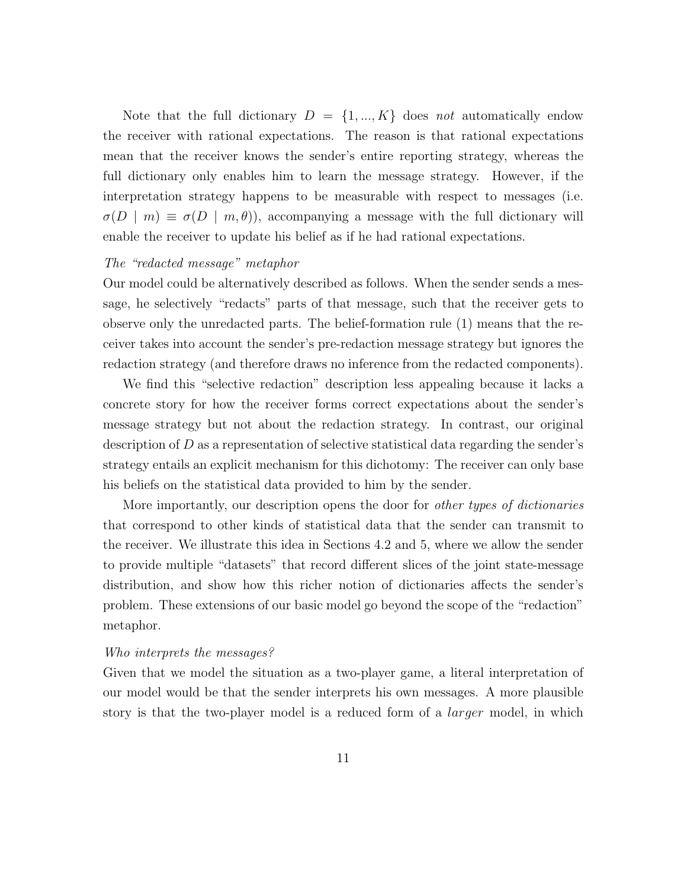Note that the full dictionary  $D = \{1, ..., K\}$  does not automatically endow the receiver with rational expectations. The reason is that rational expectations mean that the receiver knows the sender's entire reporting strategy, whereas the full dictionary only enables him to learn the message strategy. However, if the interpretation strategy happens to be measurable with respect to messages (i.e.  $\sigma(D \mid m) \equiv \sigma(D \mid m, \theta)$ , accompanying a message with the full dictionary will enable the receiver to update his belief as if he had rational expectations.

#### The "redacted message" metaphor

Our model could be alternatively described as follows. When the sender sends a message, he selectively "redacts" parts of that message, such that the receiver gets to observe only the unredacted parts. The belief-formation rule (1) means that the receiver takes into account the sender's pre-redaction message strategy but ignores the redaction strategy (and therefore draws no inference from the redacted components).

We find this "selective redaction" description less appealing because it lacks a concrete story for how the receiver forms correct expectations about the sender's message strategy but not about the redaction strategy. In contrast, our original description of  $D$  as a representation of selective statistical data regarding the sender's strategy entails an explicit mechanism for this dichotomy: The receiver can only base his beliefs on the statistical data provided to him by the sender.

More importantly, our description opens the door for other types of dictionaries that correspond to other kinds of statistical data that the sender can transmit to the receiver. We illustrate this idea in Sections 4.2 and 5, where we allow the sender to provide multiple "datasets" that record different slices of the joint state-message distribution, and show how this richer notion of dictionaries affects the sender's problem. These extensions of our basic model go beyond the scope of the "redaction" metaphor.

#### Who interprets the messages?

Given that we model the situation as a two-player game, a literal interpretation of our model would be that the sender interprets his own messages. A more plausible story is that the two-player model is a reduced form of a *larger* model, in which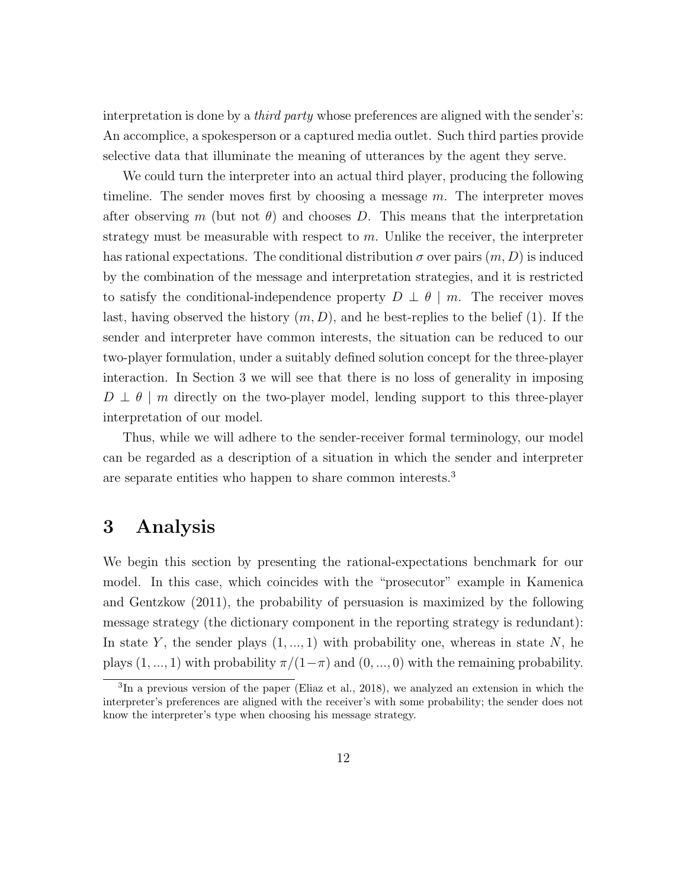interpretation is done by a *third party* whose preferences are aligned with the sender's: An accomplice, a spokesperson or a captured media outlet. Such third parties provide selective data that illuminate the meaning of utterances by the agent they serve.

We could turn the interpreter into an actual third player, producing the following timeline. The sender moves first by choosing a message  $m$ . The interpreter moves after observing m (but not  $\theta$ ) and chooses D. This means that the interpretation strategy must be measurable with respect to  $m$ . Unlike the receiver, the interpreter has rational expectations. The conditional distribution  $\sigma$  over pairs  $(m, D)$  is induced by the combination of the message and interpretation strategies, and it is restricted to satisfy the conditional-independence property  $D \perp \theta \mid m$ . The receiver moves last, having observed the history  $(m, D)$ , and he best-replies to the belief (1). If the sender and interpreter have common interests, the situation can be reduced to our two-player formulation, under a suitably defined solution concept for the three-player interaction. In Section 3 we will see that there is no loss of generality in imposing  $D \perp \theta \mid m$  directly on the two-player model, lending support to this three-player interpretation of our model.

Thus, while we will adhere to the sender-receiver formal terminology, our model can be regarded as a description of a situation in which the sender and interpreter are separate entities who happen to share common interests.<sup>3</sup>

### 3 Analysis

We begin this section by presenting the rational-expectations benchmark for our model. In this case, which coincides with the "prosecutor" example in Kamenica and Gentzkow (2011), the probability of persuasion is maximized by the following message strategy (the dictionary component in the reporting strategy is redundant): In state Y, the sender plays  $(1, ..., 1)$  with probability one, whereas in state N, he plays  $(1, ..., 1)$  with probability  $\pi/(1-\pi)$  and  $(0, ..., 0)$  with the remaining probability.

<sup>&</sup>lt;sup>3</sup>In a previous version of the paper (Eliaz et al., 2018), we analyzed an extension in which the interpreter's preferences are aligned with the receiver's with some probability; the sender does not know the interpreter's type when choosing his message strategy.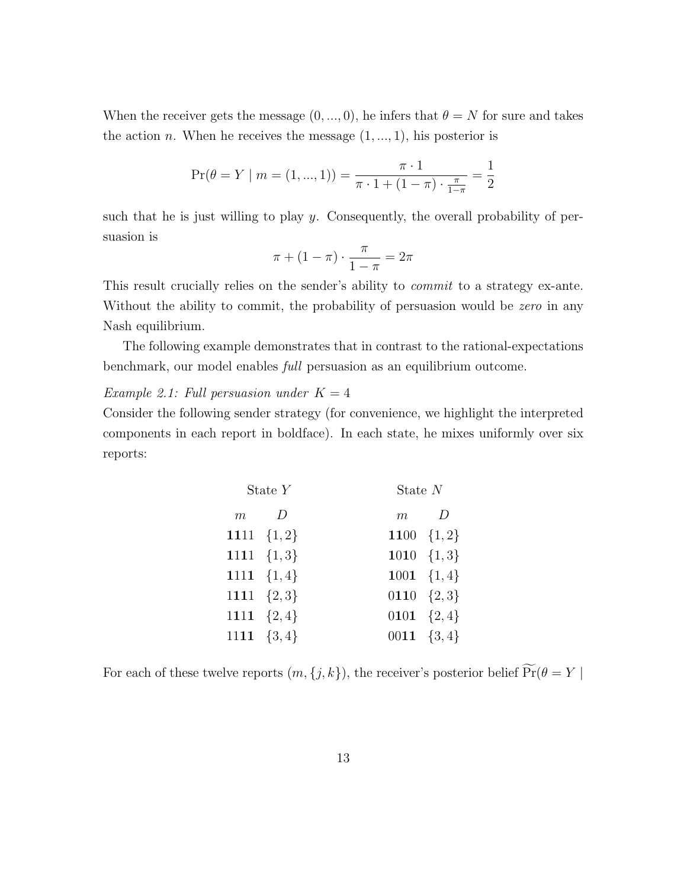When the receiver gets the message  $(0, ..., 0)$ , he infers that  $\theta = N$  for sure and takes the action *n*. When he receives the message  $(1, ..., 1)$ , his posterior is

$$
\Pr(\theta = Y \mid m = (1, ..., 1)) = \frac{\pi \cdot 1}{\pi \cdot 1 + (1 - \pi) \cdot \frac{\pi}{1 - \pi}} = \frac{1}{2}
$$

such that he is just willing to play  $y$ . Consequently, the overall probability of persuasion is

$$
\pi + (1 - \pi) \cdot \frac{\pi}{1 - \pi} = 2\pi
$$

This result crucially relies on the sender's ability to commit to a strategy ex-ante. Without the ability to commit, the probability of persuasion would be *zero* in any Nash equilibrium.

The following example demonstrates that in contrast to the rational-expectations benchmark, our model enables full persuasion as an equilibrium outcome.

#### Example 2.1: Full persuasion under  $K = 4$

Consider the following sender strategy (for convenience, we highlight the interpreted components in each report in boldface). In each state, he mixes uniformly over six reports:

| State $Y$ |                | State $N$      |  |  |
|-----------|----------------|----------------|--|--|
|           | $m$ D          | $m$ D          |  |  |
|           | 1111 $\{1,2\}$ | 1100 $\{1,2\}$ |  |  |
|           | 1111 $\{1,3\}$ | 1010 $\{1,3\}$ |  |  |
|           | 1111 $\{1,4\}$ | 1001 $\{1,4\}$ |  |  |
|           | 1111 $\{2,3\}$ | 0110 $\{2,3\}$ |  |  |
|           | 1111 $\{2,4\}$ | 0101 $\{2,4\}$ |  |  |
|           | 1111 $\{3,4\}$ | 0011 $\{3,4\}$ |  |  |

For each of these twelve reports  $(m, \{j, k\}),$  the receiver's posterior belief  $\widetilde{\Pr}(\theta = Y \mid$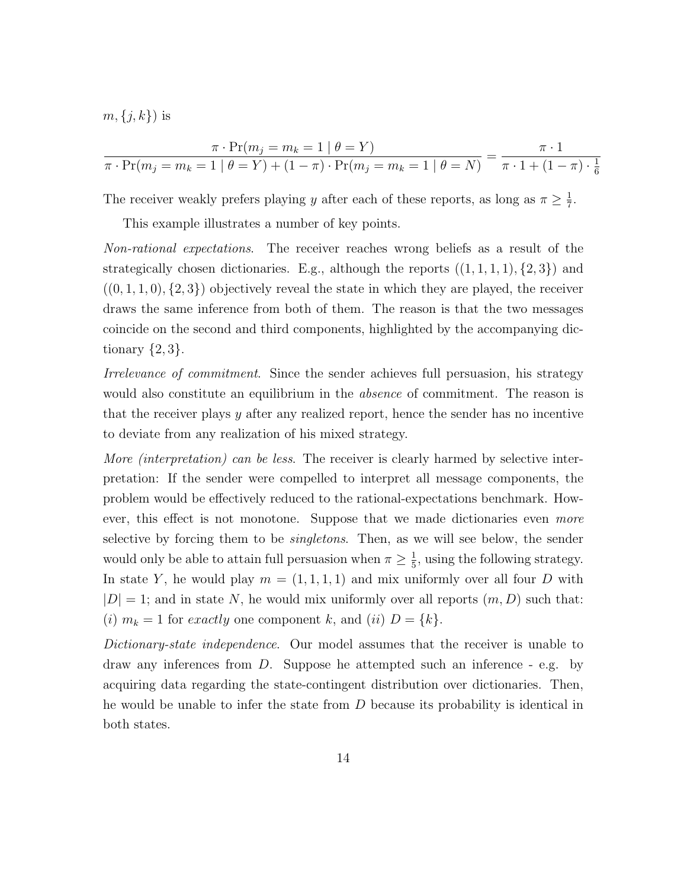$m, \{j, k\}$  is

$$
\frac{\pi \cdot \Pr(m_j = m_k = 1 \mid \theta = Y)}{\pi \cdot \Pr(m_j = m_k = 1 \mid \theta = Y) + (1 - \pi) \cdot \Pr(m_j = m_k = 1 \mid \theta = N)} = \frac{\pi \cdot 1}{\pi \cdot 1 + (1 - \pi) \cdot \frac{1}{6}}
$$

The receiver weakly prefers playing y after each of these reports, as long as  $\pi \geq \frac{1}{7}$  $\frac{1}{7}$ .

This example illustrates a number of key points.

Non-rational expectations. The receiver reaches wrong beliefs as a result of the strategically chosen dictionaries. E.g., although the reports  $((1, 1, 1, 1), \{2, 3\})$  and  $((0, 1, 1, 0), (2, 3))$  objectively reveal the state in which they are played, the receiver draws the same inference from both of them. The reason is that the two messages coincide on the second and third components, highlighted by the accompanying dictionary  $\{2,3\}.$ 

Irrelevance of commitment. Since the sender achieves full persuasion, his strategy would also constitute an equilibrium in the *absence* of commitment. The reason is that the receiver plays y after any realized report, hence the sender has no incentive to deviate from any realization of his mixed strategy.

More *(interpretation)* can be less. The receiver is clearly harmed by selective interpretation: If the sender were compelled to interpret all message components, the problem would be effectively reduced to the rational-expectations benchmark. However, this effect is not monotone. Suppose that we made dictionaries even more selective by forcing them to be *singletons*. Then, as we will see below, the sender would only be able to attain full persuasion when  $\pi \geq \frac{1}{5}$  $\frac{1}{5}$ , using the following strategy. In state Y, he would play  $m = (1, 1, 1, 1)$  and mix uniformly over all four D with  $|D| = 1$ ; and in state N, he would mix uniformly over all reports  $(m, D)$  such that: (i)  $m_k = 1$  for exactly one component k, and (ii)  $D = \{k\}.$ 

Dictionary-state independence. Our model assumes that the receiver is unable to draw any inferences from D. Suppose he attempted such an inference - e.g. by acquiring data regarding the state-contingent distribution over dictionaries. Then, he would be unable to infer the state from D because its probability is identical in both states.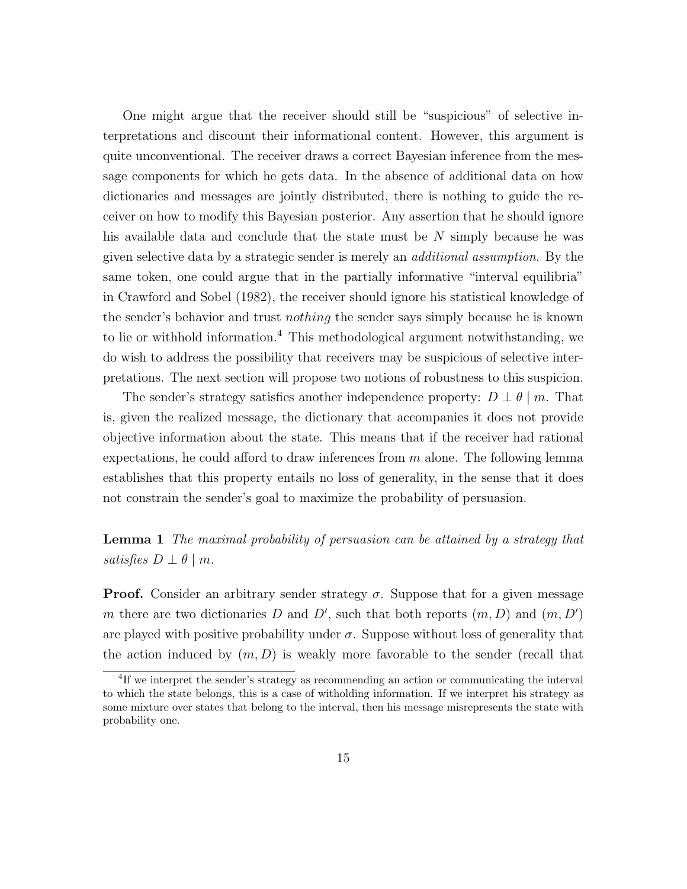One might argue that the receiver should still be "suspicious" of selective interpretations and discount their informational content. However, this argument is quite unconventional. The receiver draws a correct Bayesian inference from the message components for which he gets data. In the absence of additional data on how dictionaries and messages are jointly distributed, there is nothing to guide the receiver on how to modify this Bayesian posterior. Any assertion that he should ignore his available data and conclude that the state must be N simply because he was given selective data by a strategic sender is merely an additional assumption. By the same token, one could argue that in the partially informative "interval equilibria" in Crawford and Sobel (1982), the receiver should ignore his statistical knowledge of the sender's behavior and trust nothing the sender says simply because he is known to lie or withhold information.<sup>4</sup> This methodological argument notwithstanding, we do wish to address the possibility that receivers may be suspicious of selective interpretations. The next section will propose two notions of robustness to this suspicion.

The sender's strategy satisfies another independence property:  $D \perp \theta \mid m$ . That is, given the realized message, the dictionary that accompanies it does not provide objective information about the state. This means that if the receiver had rational expectations, he could afford to draw inferences from  $m$  alone. The following lemma establishes that this property entails no loss of generality, in the sense that it does not constrain the sender's goal to maximize the probability of persuasion.

#### Lemma 1 The maximal probability of persuasion can be attained by a strategy that satisfies  $D \perp \theta \mid m$ .

**Proof.** Consider an arbitrary sender strategy  $\sigma$ . Suppose that for a given message m there are two dictionaries D and D', such that both reports  $(m, D)$  and  $(m, D')$ are played with positive probability under  $\sigma$ . Suppose without loss of generality that the action induced by  $(m, D)$  is weakly more favorable to the sender (recall that

<sup>&</sup>lt;sup>4</sup>If we interpret the sender's strategy as recommending an action or communicating the interval to which the state belongs, this is a case of witholding information. If we interpret his strategy as some mixture over states that belong to the interval, then his message misrepresents the state with probability one.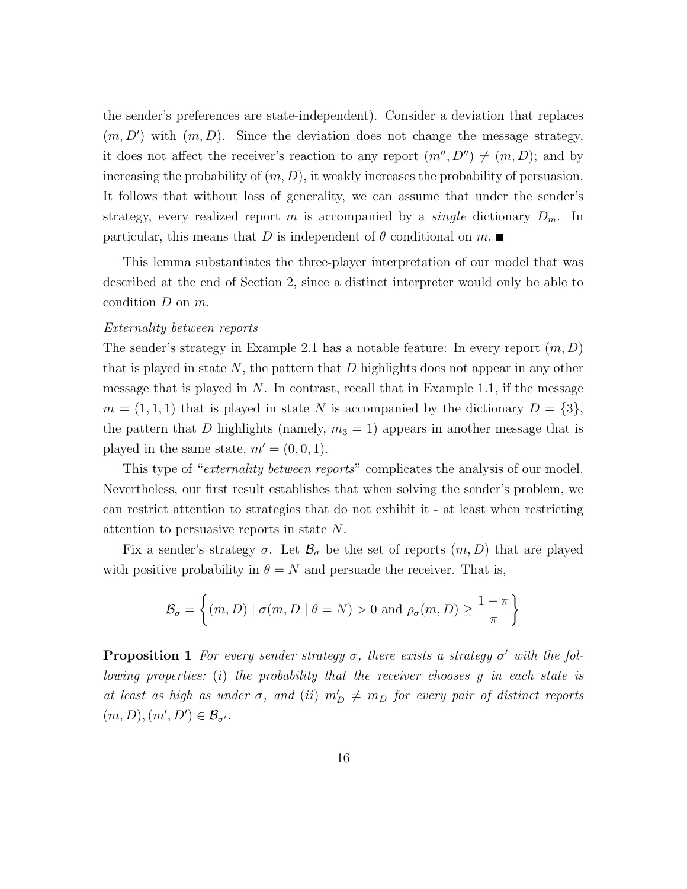the sender's preferences are state-independent). Consider a deviation that replaces  $(m, D')$  with  $(m, D)$ . Since the deviation does not change the message strategy, it does not affect the receiver's reaction to any report  $(m'', D'') \neq (m, D)$ ; and by increasing the probability of  $(m, D)$ , it weakly increases the probability of persuasion. It follows that without loss of generality, we can assume that under the sender's strategy, every realized report m is accompanied by a *single* dictionary  $D_m$ . In particular, this means that D is independent of  $\theta$  conditional on  $m$ .

This lemma substantiates the three-player interpretation of our model that was described at the end of Section 2, since a distinct interpreter would only be able to condition D on m.

#### Externality between reports

The sender's strategy in Example 2.1 has a notable feature: In every report  $(m, D)$ that is played in state  $N$ , the pattern that  $D$  highlights does not appear in any other message that is played in  $N$ . In contrast, recall that in Example 1.1, if the message  $m = (1, 1, 1)$  that is played in state N is accompanied by the dictionary  $D = \{3\},\$ the pattern that D highlights (namely,  $m_3 = 1$ ) appears in another message that is played in the same state,  $m' = (0, 0, 1)$ .

This type of "*externality between reports*" complicates the analysis of our model. Nevertheless, our first result establishes that when solving the sender's problem, we can restrict attention to strategies that do not exhibit it - at least when restricting attention to persuasive reports in state N.

Fix a sender's strategy  $\sigma$ . Let  $\mathcal{B}_{\sigma}$  be the set of reports  $(m, D)$  that are played with positive probability in  $\theta = N$  and persuade the receiver. That is,

$$
\mathcal{B}_{\sigma} = \left\{ (m, D) \mid \sigma(m, D \mid \theta = N) > 0 \text{ and } \rho_{\sigma}(m, D) \ge \frac{1 - \pi}{\pi} \right\}
$$

**Proposition 1** For every sender strategy  $\sigma$ , there exists a strategy  $\sigma'$  with the following properties: (i) the probability that the receiver chooses y in each state is at least as high as under  $\sigma$ , and (ii)  $m'_D \neq m_D$  for every pair of distinct reports  $(m, D), (m', D') \in \mathcal{B}_{\sigma'}$ .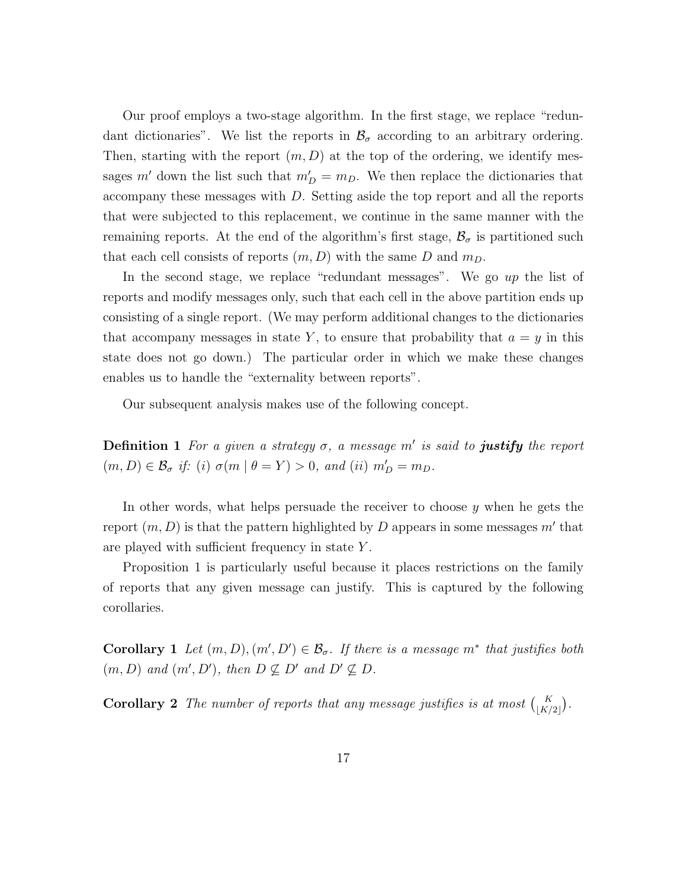Our proof employs a two-stage algorithm. In the first stage, we replace "redundant dictionaries". We list the reports in  $\mathcal{B}_{\sigma}$  according to an arbitrary ordering. Then, starting with the report  $(m, D)$  at the top of the ordering, we identify messages m' down the list such that  $m'_D = m_D$ . We then replace the dictionaries that accompany these messages with D. Setting aside the top report and all the reports that were subjected to this replacement, we continue in the same manner with the remaining reports. At the end of the algorithm's first stage,  $\mathcal{B}_{\sigma}$  is partitioned such that each cell consists of reports  $(m, D)$  with the same D and  $m_D$ .

In the second stage, we replace "redundant messages". We go up the list of reports and modify messages only, such that each cell in the above partition ends up consisting of a single report. (We may perform additional changes to the dictionaries that accompany messages in state Y, to ensure that probability that  $a = y$  in this state does not go down.) The particular order in which we make these changes enables us to handle the "externality between reports".

Our subsequent analysis makes use of the following concept.

**Definition 1** For a given a strategy  $\sigma$ , a message m' is said to **justify** the report  $(m, D) \in \mathcal{B}_{\sigma}$  if: (i)  $\sigma(m \mid \theta = Y) > 0$ , and (ii)  $m'_D = m_D$ .

In other words, what helps persuade the receiver to choose  $y$  when he gets the report  $(m, D)$  is that the pattern highlighted by D appears in some messages  $m'$  that are played with sufficient frequency in state Y .

Proposition 1 is particularly useful because it places restrictions on the family of reports that any given message can justify. This is captured by the following corollaries.

**Corollary** 1 Let  $(m, D), (m', D') \in \mathcal{B}_{\sigma}$ . If there is a message  $m^*$  that justifies both  $(m, D)$  and  $(m', D')$ , then  $D \not\subseteq D'$  and  $D' \not\subseteq D$ .

**Corollary 2** The number of reports that any message justifies is at most  $\binom{K}{\lfloor K/2 \rfloor}$ .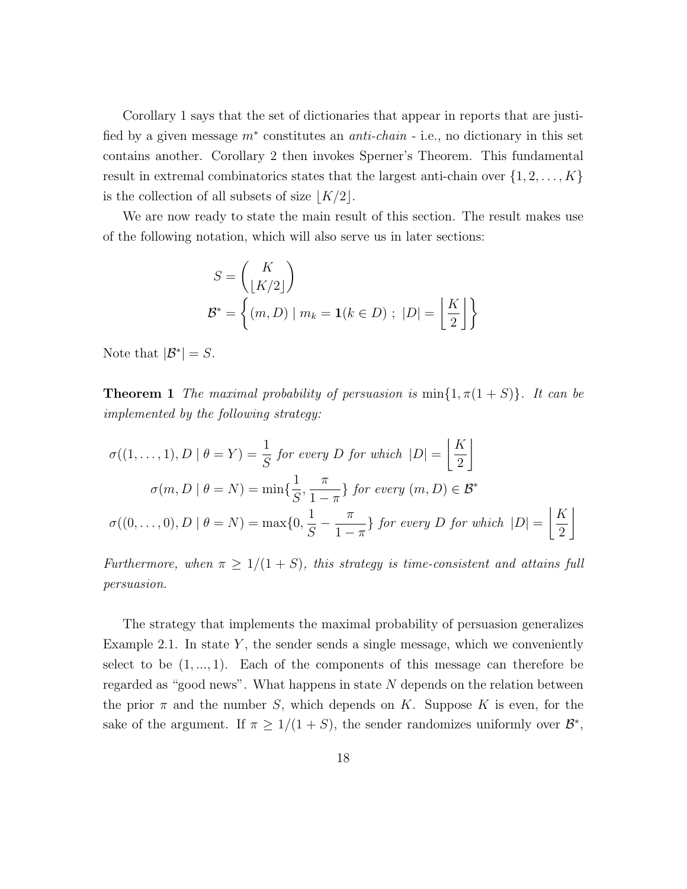Corollary 1 says that the set of dictionaries that appear in reports that are justified by a given message  $m^*$  constitutes an *anti-chain* - i.e., no dictionary in this set contains another. Corollary 2 then invokes Sperner's Theorem. This fundamental result in extremal combinatorics states that the largest anti-chain over  $\{1, 2, \ldots, K\}$ is the collection of all subsets of size  $|K/2|$ .

We are now ready to state the main result of this section. The result makes use of the following notation, which will also serve us in later sections:

$$
S = \begin{pmatrix} K \\ \lfloor K/2 \rfloor \end{pmatrix}
$$
  

$$
\mathcal{B}^* = \left\{ (m, D) \mid m_k = \mathbf{1}(k \in D) ; |D| = \left\lfloor \frac{K}{2} \right\rfloor \right\}
$$

Note that  $|\mathcal{B}^*| = S$ .

**Theorem 1** The maximal probability of persuasion is  $min\{1, \pi(1+S)\}\$ . It can be implemented by the following strategy:

$$
\sigma((1, ..., 1), D \mid \theta = Y) = \frac{1}{S} \text{ for every } D \text{ for which } |D| = \left\lfloor \frac{K}{2} \right\rfloor
$$

$$
\sigma(m, D \mid \theta = N) = \min\{\frac{1}{S}, \frac{\pi}{1 - \pi}\} \text{ for every } (m, D) \in \mathcal{B}^*
$$

$$
\sigma((0, ..., 0), D \mid \theta = N) = \max\{0, \frac{1}{S} - \frac{\pi}{1 - \pi}\} \text{ for every } D \text{ for which } |D| = \left\lfloor \frac{K}{2} \right\rfloor
$$

Furthermore, when  $\pi \geq 1/(1+S)$ , this strategy is time-consistent and attains full persuasion.

The strategy that implements the maximal probability of persuasion generalizes Example 2.1. In state  $Y$ , the sender sends a single message, which we conveniently select to be  $(1, ..., 1)$ . Each of the components of this message can therefore be regarded as "good news". What happens in state N depends on the relation between the prior  $\pi$  and the number S, which depends on K. Suppose K is even, for the sake of the argument. If  $\pi \geq 1/(1+S)$ , the sender randomizes uniformly over  $\mathcal{B}^*$ ,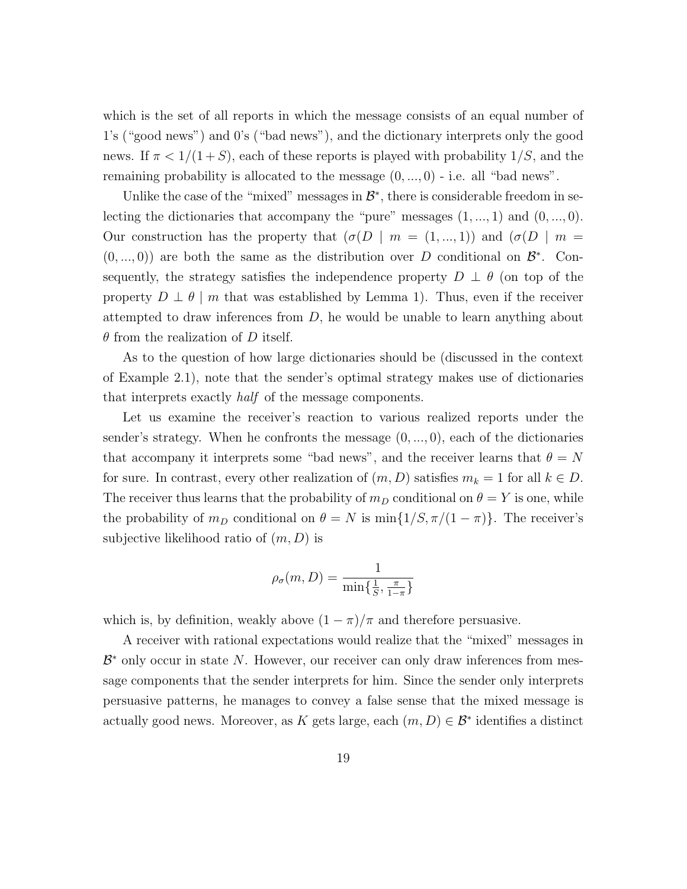which is the set of all reports in which the message consists of an equal number of 1's ("good news") and 0's ("bad news"), and the dictionary interprets only the good news. If  $\pi < 1/(1+S)$ , each of these reports is played with probability  $1/S$ , and the remaining probability is allocated to the message  $(0, ..., 0)$  - i.e. all "bad news".

Unlike the case of the "mixed" messages in  $\mathcal{B}^*$ , there is considerable freedom in selecting the dictionaries that accompany the "pure" messages  $(1, ..., 1)$  and  $(0, ..., 0)$ . Our construction has the property that  $(\sigma(D \mid m = (1, ..., 1))$  and  $(\sigma(D \mid m =$  $(0, ..., 0)$  are both the same as the distribution over D conditional on  $\mathcal{B}^*$ . Consequently, the strategy satisfies the independence property  $D \perp \theta$  (on top of the property  $D \perp \theta \mid m$  that was established by Lemma 1). Thus, even if the receiver attempted to draw inferences from  $D$ , he would be unable to learn anything about  $\theta$  from the realization of D itself.

As to the question of how large dictionaries should be (discussed in the context of Example 2.1), note that the sender's optimal strategy makes use of dictionaries that interprets exactly half of the message components.

Let us examine the receiver's reaction to various realized reports under the sender's strategy. When he confronts the message  $(0, \ldots, 0)$ , each of the dictionaries that accompany it interprets some "bad news", and the receiver learns that  $\theta = N$ for sure. In contrast, every other realization of  $(m, D)$  satisfies  $m_k = 1$  for all  $k \in D$ . The receiver thus learns that the probability of  $m_D$  conditional on  $\theta = Y$  is one, while the probability of  $m_D$  conditional on  $\theta = N$  is  $\min\{1/S, \pi/(1-\pi)\}\)$ . The receiver's subjective likelihood ratio of  $(m, D)$  is

$$
\rho_{\sigma}(m, D) = \frac{1}{\min\{\frac{1}{S}, \frac{\pi}{1-\pi}\}}
$$

which is, by definition, weakly above  $(1 - \pi)/\pi$  and therefore persuasive.

A receiver with rational expectations would realize that the "mixed" messages in  $\mathcal{B}^*$  only occur in state N. However, our receiver can only draw inferences from message components that the sender interprets for him. Since the sender only interprets persuasive patterns, he manages to convey a false sense that the mixed message is actually good news. Moreover, as K gets large, each  $(m, D) \in \mathcal{B}^*$  identifies a distinct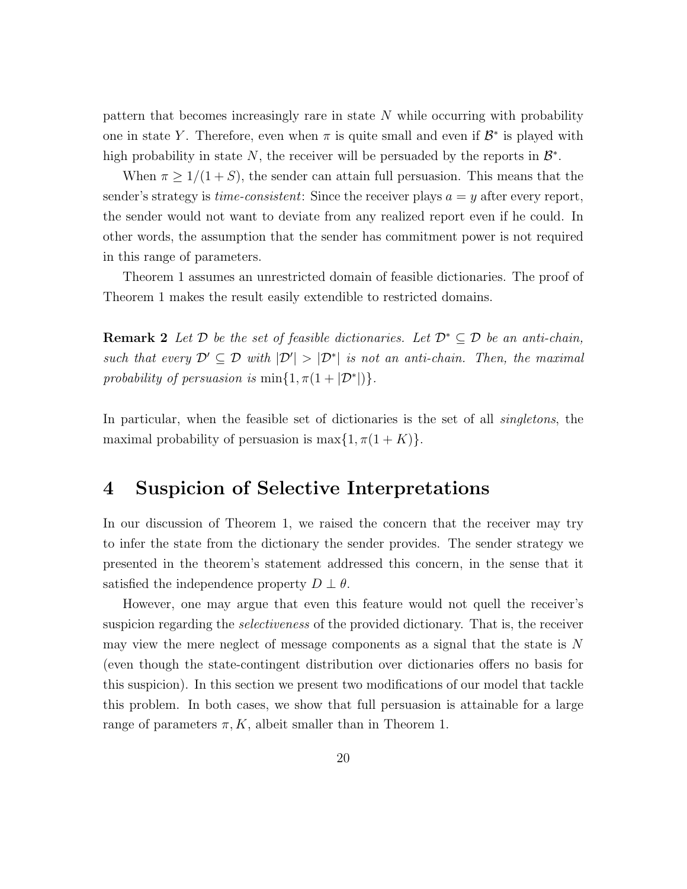pattern that becomes increasingly rare in state N while occurring with probability one in state Y. Therefore, even when  $\pi$  is quite small and even if  $\mathcal{B}^*$  is played with high probability in state N, the receiver will be persuaded by the reports in  $\mathcal{B}^*$ .

When  $\pi \geq 1/(1+S)$ , the sender can attain full persuasion. This means that the sender's strategy is *time-consistent*: Since the receiver plays  $a = y$  after every report, the sender would not want to deviate from any realized report even if he could. In other words, the assumption that the sender has commitment power is not required in this range of parameters.

Theorem 1 assumes an unrestricted domain of feasible dictionaries. The proof of Theorem 1 makes the result easily extendible to restricted domains.

**Remark 2** Let  $D$  be the set of feasible dictionaries. Let  $D^* \subseteq D$  be an anti-chain, such that every  $\mathcal{D}' \subseteq \mathcal{D}$  with  $|\mathcal{D}'| > |\mathcal{D}^*|$  is not an anti-chain. Then, the maximal probability of persuasion is  $\min\{1, \pi(1+|\mathcal{D}^*|)\}.$ 

In particular, when the feasible set of dictionaries is the set of all *singletons*, the maximal probability of persuasion is max $\{1, \pi(1 + K)\}.$ 

### 4 Suspicion of Selective Interpretations

In our discussion of Theorem 1, we raised the concern that the receiver may try to infer the state from the dictionary the sender provides. The sender strategy we presented in the theorem's statement addressed this concern, in the sense that it satisfied the independence property  $D \perp \theta$ .

However, one may argue that even this feature would not quell the receiver's suspicion regarding the *selectiveness* of the provided dictionary. That is, the receiver may view the mere neglect of message components as a signal that the state is N (even though the state-contingent distribution over dictionaries offers no basis for this suspicion). In this section we present two modifications of our model that tackle this problem. In both cases, we show that full persuasion is attainable for a large range of parameters  $\pi, K$ , albeit smaller than in Theorem 1.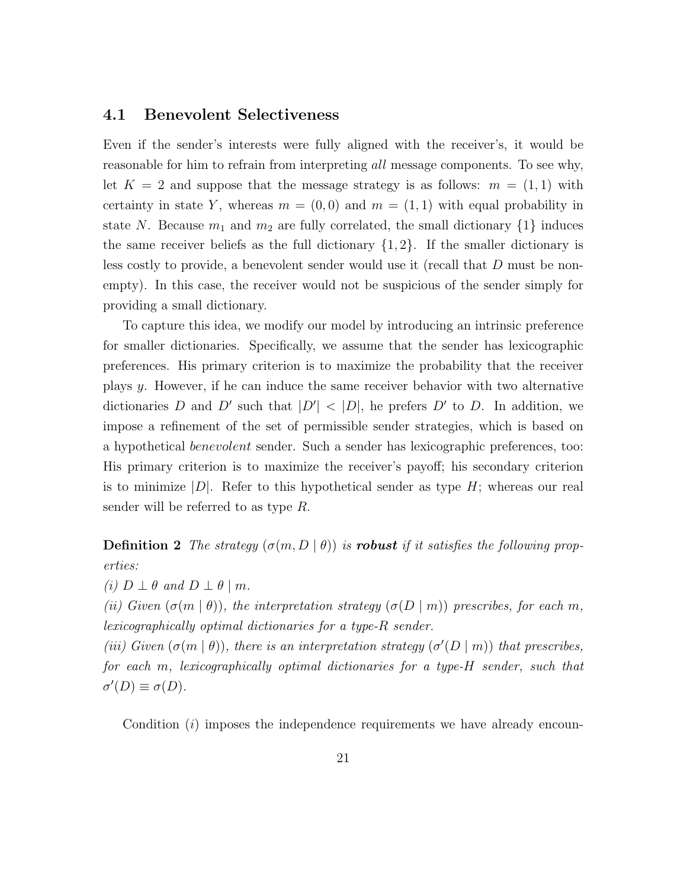#### 4.1 Benevolent Selectiveness

Even if the sender's interests were fully aligned with the receiver's, it would be reasonable for him to refrain from interpreting all message components. To see why, let  $K = 2$  and suppose that the message strategy is as follows:  $m = (1, 1)$  with certainty in state Y, whereas  $m = (0,0)$  and  $m = (1,1)$  with equal probability in state N. Because  $m_1$  and  $m_2$  are fully correlated, the small dictionary  $\{1\}$  induces the same receiver beliefs as the full dictionary  $\{1, 2\}$ . If the smaller dictionary is less costly to provide, a benevolent sender would use it (recall that D must be nonempty). In this case, the receiver would not be suspicious of the sender simply for providing a small dictionary.

To capture this idea, we modify our model by introducing an intrinsic preference for smaller dictionaries. Specifically, we assume that the sender has lexicographic preferences. His primary criterion is to maximize the probability that the receiver plays y. However, if he can induce the same receiver behavior with two alternative dictionaries D and D' such that  $|D'| < |D|$ , he prefers D' to D. In addition, we impose a refinement of the set of permissible sender strategies, which is based on a hypothetical benevolent sender. Such a sender has lexicographic preferences, too: His primary criterion is to maximize the receiver's payoff; his secondary criterion is to minimize  $|D|$ . Refer to this hypothetical sender as type H; whereas our real sender will be referred to as type R.

**Definition 2** The strategy  $(\sigma(m, D \mid \theta))$  is **robust** if it satisfies the following properties:

(i)  $D \perp \theta$  and  $D \perp \theta \mid m$ .

(ii) Given  $(\sigma(m \mid \theta))$ , the interpretation strategy  $(\sigma(D \mid m))$  prescribes, for each m, lexicographically optimal dictionaries for a type-R sender.

(iii) Given  $(\sigma(m \mid \theta))$ , there is an interpretation strategy  $(\sigma'(D \mid m))$  that prescribes, for each m, lexicographically optimal dictionaries for a type-H sender, such that  $\sigma'(D) \equiv \sigma(D).$ 

Condition  $(i)$  imposes the independence requirements we have already encoun-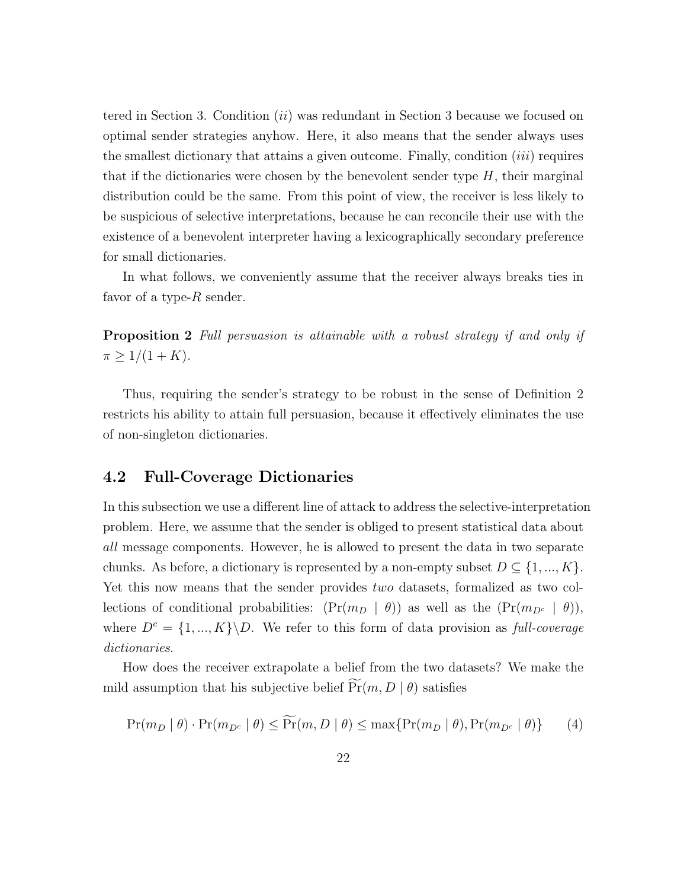tered in Section 3. Condition  $(ii)$  was redundant in Section 3 because we focused on optimal sender strategies anyhow. Here, it also means that the sender always uses the smallest dictionary that attains a given outcome. Finally, condition  $(iii)$  requires that if the dictionaries were chosen by the benevolent sender type  $H$ , their marginal distribution could be the same. From this point of view, the receiver is less likely to be suspicious of selective interpretations, because he can reconcile their use with the existence of a benevolent interpreter having a lexicographically secondary preference for small dictionaries.

In what follows, we conveniently assume that the receiver always breaks ties in favor of a type- $R$  sender.

**Proposition 2** Full persuasion is attainable with a robust strategy if and only if  $\pi \geq 1/(1+K).$ 

Thus, requiring the sender's strategy to be robust in the sense of Definition 2 restricts his ability to attain full persuasion, because it effectively eliminates the use of non-singleton dictionaries.

#### 4.2 Full-Coverage Dictionaries

In this subsection we use a different line of attack to address the selective-interpretation problem. Here, we assume that the sender is obliged to present statistical data about all message components. However, he is allowed to present the data in two separate chunks. As before, a dictionary is represented by a non-empty subset  $D \subseteq \{1, ..., K\}$ . Yet this now means that the sender provides two datasets, formalized as two collections of conditional probabilities:  $(\Pr(m_D \mid \theta))$  as well as the  $(\Pr(m_{D^c} \mid \theta))$ , where  $D^c = \{1, ..., K\} \backslash D$ . We refer to this form of data provision as full-coverage dictionaries.

How does the receiver extrapolate a belief from the two datasets? We make the mild assumption that his subjective belief  $\widetilde{\Pr}(m, D | \theta)$  satisfies

$$
\Pr(m_D \mid \theta) \cdot \Pr(m_{D^c} \mid \theta) \le \widetilde{\Pr}(m, D \mid \theta) \le \max\{\Pr(m_D \mid \theta), \Pr(m_{D^c} \mid \theta)\} \tag{4}
$$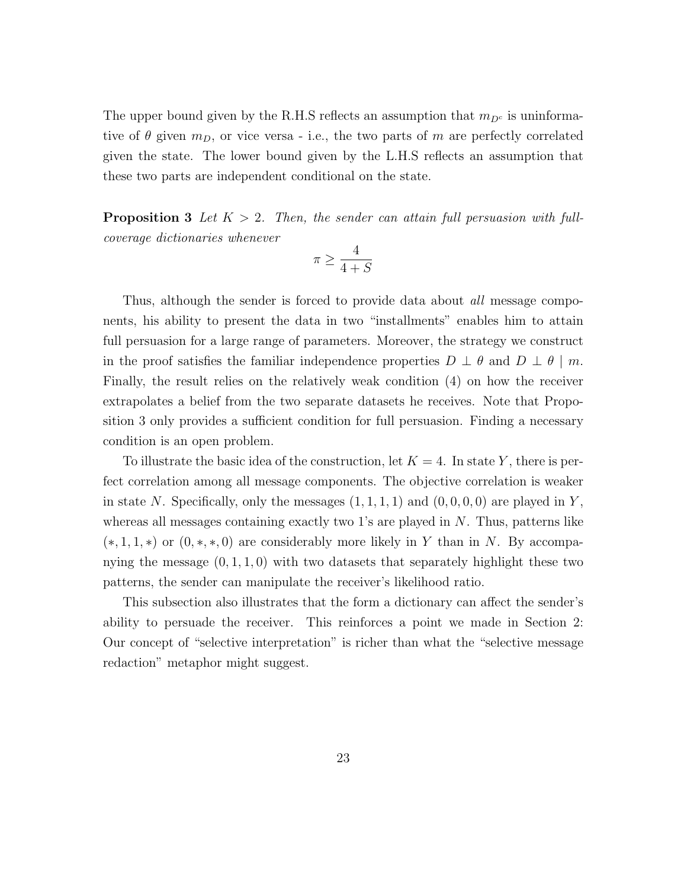The upper bound given by the R.H.S reflects an assumption that  $m_{D^c}$  is uninformative of  $\theta$  given  $m_D$ , or vice versa - i.e., the two parts of m are perfectly correlated given the state. The lower bound given by the L.H.S reflects an assumption that these two parts are independent conditional on the state.

**Proposition 3** Let  $K > 2$ . Then, the sender can attain full persuasion with fullcoverage dictionaries whenever

$$
\pi\geq \frac{4}{4+S}
$$

Thus, although the sender is forced to provide data about *all* message components, his ability to present the data in two "installments" enables him to attain full persuasion for a large range of parameters. Moreover, the strategy we construct in the proof satisfies the familiar independence properties  $D \perp \theta$  and  $D \perp \theta \mid m$ . Finally, the result relies on the relatively weak condition (4) on how the receiver extrapolates a belief from the two separate datasets he receives. Note that Proposition 3 only provides a sufficient condition for full persuasion. Finding a necessary condition is an open problem.

To illustrate the basic idea of the construction, let  $K = 4$ . In state Y, there is perfect correlation among all message components. The objective correlation is weaker in state N. Specifically, only the messages  $(1, 1, 1, 1)$  and  $(0, 0, 0, 0)$  are played in Y, whereas all messages containing exactly two 1's are played in  $N$ . Thus, patterns like  $(*, 1, 1, *)$  or  $(0, *, *, 0)$  are considerably more likely in Y than in N. By accompanying the message  $(0, 1, 1, 0)$  with two datasets that separately highlight these two patterns, the sender can manipulate the receiver's likelihood ratio.

This subsection also illustrates that the form a dictionary can affect the sender's ability to persuade the receiver. This reinforces a point we made in Section 2: Our concept of "selective interpretation" is richer than what the "selective message redaction" metaphor might suggest.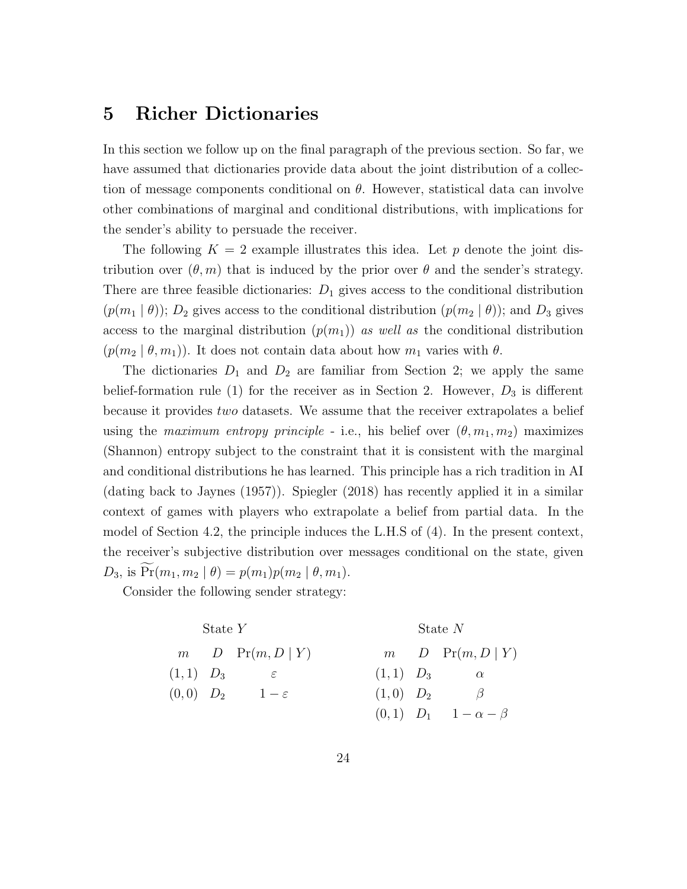### 5 Richer Dictionaries

In this section we follow up on the final paragraph of the previous section. So far, we have assumed that dictionaries provide data about the joint distribution of a collection of message components conditional on  $\theta$ . However, statistical data can involve other combinations of marginal and conditional distributions, with implications for the sender's ability to persuade the receiver.

The following  $K = 2$  example illustrates this idea. Let p denote the joint distribution over  $(\theta, m)$  that is induced by the prior over  $\theta$  and the sender's strategy. There are three feasible dictionaries:  $D_1$  gives access to the conditional distribution  $(p(m_1 | \theta))$ ;  $D_2$  gives access to the conditional distribution  $(p(m_2 | \theta))$ ; and  $D_3$  gives access to the marginal distribution  $(p(m_1))$  as well as the conditional distribution  $(p(m_2 | \theta, m_1))$ . It does not contain data about how  $m_1$  varies with  $\theta$ .

The dictionaries  $D_1$  and  $D_2$  are familiar from Section 2; we apply the same belief-formation rule (1) for the receiver as in Section 2. However,  $D_3$  is different because it provides two datasets. We assume that the receiver extrapolates a belief using the maximum entropy principle - i.e., his belief over  $(\theta, m_1, m_2)$  maximizes (Shannon) entropy subject to the constraint that it is consistent with the marginal and conditional distributions he has learned. This principle has a rich tradition in AI (dating back to Jaynes (1957)). Spiegler (2018) has recently applied it in a similar context of games with players who extrapolate a belief from partial data. In the model of Section 4.2, the principle induces the L.H.S of (4). In the present context, the receiver's subjective distribution over messages conditional on the state, given  $D_3$ , is  $Pr(m_1, m_2 | \theta) = p(m_1)p(m_2 | \theta, m_1).$ 

Consider the following sender strategy:

| State $Y$ | State $N$ |                      |          |       |                 |
|-----------|-----------|----------------------|----------|-------|-----------------|
| $m$       | $D$       | $\Pr(m, D   Y)$      | $m$      | $D$   | $\Pr(m, D   Y)$ |
| $(1, 1)$  | $D_3$     | $\varepsilon$        | $(1, 1)$ | $D_3$ | $\alpha$        |
| $(0, 0)$  | $D_2$     | $1 - \varepsilon$    | $(1, 0)$ | $D_2$ | $\beta$         |
| $(0, 1)$  | $D_1$     | $1 - \alpha - \beta$ |          |       |                 |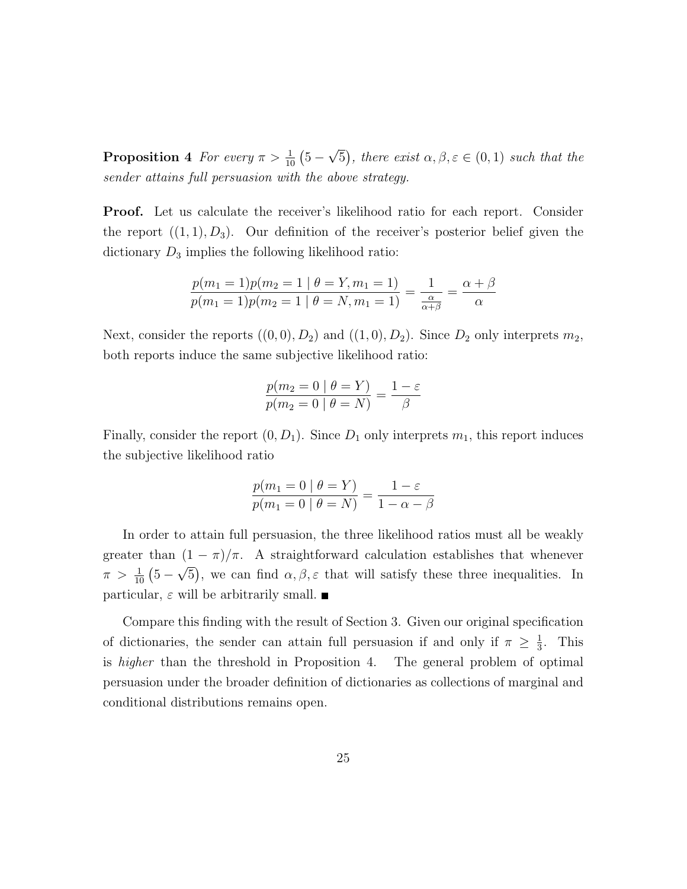**Proposition 4** For every  $\pi > \frac{1}{10} (5 -$ √  $\overline{5}$ , there exist  $\alpha, \beta, \varepsilon \in (0,1)$  such that the sender attains full persuasion with the above strategy.

Proof. Let us calculate the receiver's likelihood ratio for each report. Consider the report  $((1, 1), D_3)$ . Our definition of the receiver's posterior belief given the dictionary  $D_3$  implies the following likelihood ratio:

$$
\frac{p(m_1 = 1)p(m_2 = 1 | \theta = Y, m_1 = 1)}{p(m_1 = 1)p(m_2 = 1 | \theta = N, m_1 = 1)} = \frac{1}{\frac{\alpha}{\alpha + \beta}} = \frac{\alpha + \beta}{\alpha}
$$

Next, consider the reports  $((0,0), D_2)$  and  $((1,0), D_2)$ . Since  $D_2$  only interprets  $m_2$ , both reports induce the same subjective likelihood ratio:

$$
\frac{p(m_2 = 0 | \theta = Y)}{p(m_2 = 0 | \theta = N)} = \frac{1 - \varepsilon}{\beta}
$$

Finally, consider the report  $(0, D_1)$ . Since  $D_1$  only interprets  $m_1$ , this report induces the subjective likelihood ratio

$$
\frac{p(m_1 = 0 | \theta = Y)}{p(m_1 = 0 | \theta = N)} = \frac{1 - \varepsilon}{1 - \alpha - \beta}
$$

In order to attain full persuasion, the three likelihood ratios must all be weakly greater than  $(1 - \pi)/\pi$ . A straightforward calculation establishes that whenever  $\pi > \frac{1}{10} (5 - \sqrt{5})$ , we can find  $\alpha, \beta, \varepsilon$  that will satisfy these three inequalities. In particular,  $\varepsilon$  will be arbitrarily small.

Compare this finding with the result of Section 3. Given our original specification of dictionaries, the sender can attain full persuasion if and only if  $\pi \geq \frac{1}{3}$  $\frac{1}{3}$ . This is higher than the threshold in Proposition 4. The general problem of optimal persuasion under the broader definition of dictionaries as collections of marginal and conditional distributions remains open.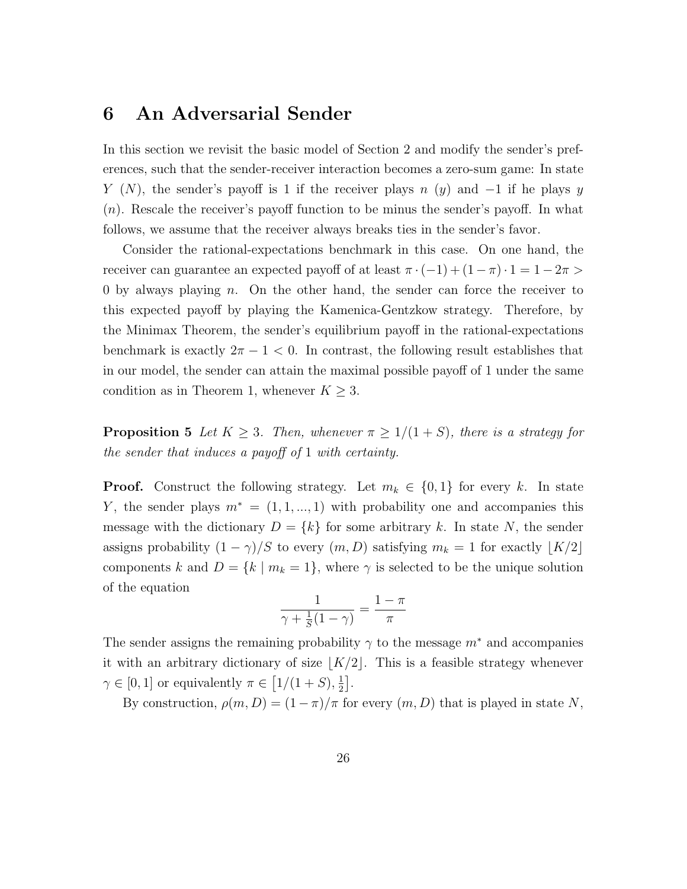### 6 An Adversarial Sender

In this section we revisit the basic model of Section 2 and modify the sender's preferences, such that the sender-receiver interaction becomes a zero-sum game: In state Y (N), the sender's payoff is 1 if the receiver plays n (y) and  $-1$  if he plays y  $(n)$ . Rescale the receiver's payoff function to be minus the sender's payoff. In what follows, we assume that the receiver always breaks ties in the sender's favor.

Consider the rational-expectations benchmark in this case. On one hand, the receiver can guarantee an expected payoff of at least  $\pi \cdot (-1) + (1 - \pi) \cdot 1 = 1 - 2\pi >$ 0 by always playing  $n$ . On the other hand, the sender can force the receiver to this expected payoff by playing the Kamenica-Gentzkow strategy. Therefore, by the Minimax Theorem, the sender's equilibrium payoff in the rational-expectations benchmark is exactly  $2\pi - 1 < 0$ . In contrast, the following result establishes that in our model, the sender can attain the maximal possible payoff of 1 under the same condition as in Theorem 1, whenever  $K \geq 3$ .

**Proposition 5** Let  $K \geq 3$ . Then, whenever  $\pi \geq 1/(1+S)$ , there is a strategy for the sender that induces a payoff of 1 with certainty.

**Proof.** Construct the following strategy. Let  $m_k \in \{0, 1\}$  for every k. In state Y, the sender plays  $m^* = (1, 1, ..., 1)$  with probability one and accompanies this message with the dictionary  $D = \{k\}$  for some arbitrary k. In state N, the sender assigns probability  $(1 - \gamma)/S$  to every  $(m, D)$  satisfying  $m_k = 1$  for exactly  $\lfloor K/2 \rfloor$ components k and  $D = \{k \mid m_k = 1\}$ , where  $\gamma$  is selected to be the unique solution of the equation

$$
\frac{1}{\gamma + \frac{1}{S}(1-\gamma)} = \frac{1-\pi}{\pi}
$$

The sender assigns the remaining probability  $\gamma$  to the message  $m^*$  and accompanies it with an arbitrary dictionary of size  $|K/2|$ . This is a feasible strategy whenever  $\gamma \in [0,1]$  or equivalently  $\pi \in [1/(1+S),\frac{1}{2}]$  $\frac{1}{2}$ .

By construction,  $\rho(m, D) = (1 - \pi)/\pi$  for every  $(m, D)$  that is played in state N,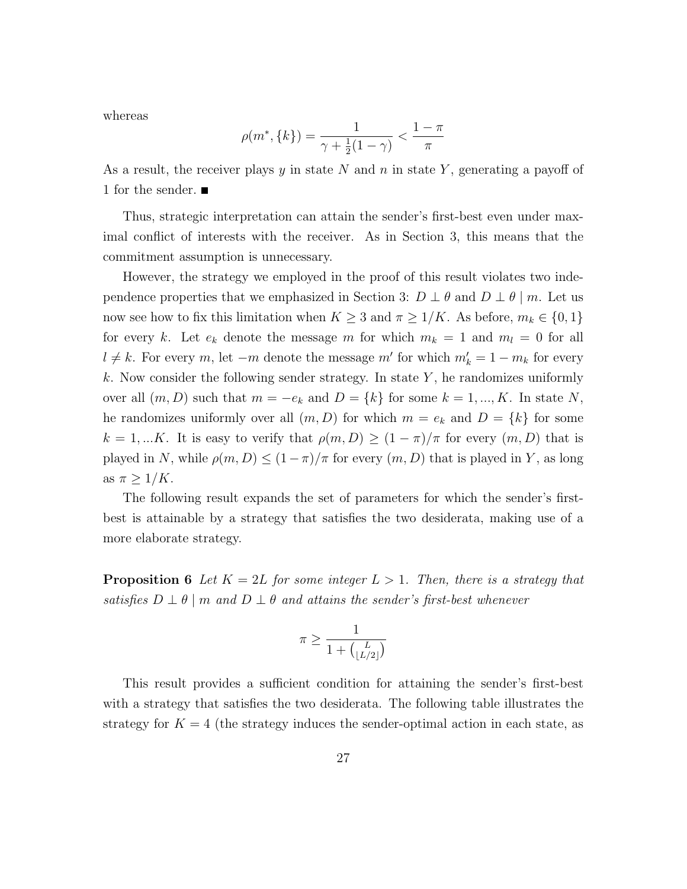whereas

$$
\rho(m^*, \{k\}) = \frac{1}{\gamma + \frac{1}{2}(1 - \gamma)} < \frac{1 - \pi}{\pi}
$$

As a result, the receiver plays y in state N and n in state Y, generating a payoff of 1 for the sender.

Thus, strategic interpretation can attain the sender's first-best even under maximal conflict of interests with the receiver. As in Section 3, this means that the commitment assumption is unnecessary.

However, the strategy we employed in the proof of this result violates two independence properties that we emphasized in Section 3:  $D \perp \theta$  and  $D \perp \theta$  | m. Let us now see how to fix this limitation when  $K \geq 3$  and  $\pi \geq 1/K$ . As before,  $m_k \in \{0,1\}$ for every k. Let  $e_k$  denote the message m for which  $m_k = 1$  and  $m_l = 0$  for all  $l \neq k$ . For every m, let  $-m$  denote the message m' for which  $m'_k = 1 - m_k$  for every k. Now consider the following sender strategy. In state  $Y$ , he randomizes uniformly over all  $(m, D)$  such that  $m = -e_k$  and  $D = \{k\}$  for some  $k = 1, ..., K$ . In state N, he randomizes uniformly over all  $(m, D)$  for which  $m = e_k$  and  $D = \{k\}$  for some  $k = 1,...K$ . It is easy to verify that  $\rho(m, D) \ge (1 - \pi)/\pi$  for every  $(m, D)$  that is played in N, while  $\rho(m, D) \le (1 - \pi)/\pi$  for every  $(m, D)$  that is played in Y, as long as  $\pi \geq 1/K$ .

The following result expands the set of parameters for which the sender's firstbest is attainable by a strategy that satisfies the two desiderata, making use of a more elaborate strategy.

**Proposition 6** Let  $K = 2L$  for some integer  $L > 1$ . Then, there is a strategy that satisfies  $D \perp \theta \mid m$  and  $D \perp \theta$  and attains the sender's first-best whenever

$$
\pi \ge \frac{1}{1 + \binom{L}{\lfloor L/2 \rfloor}}
$$

This result provides a sufficient condition for attaining the sender's first-best with a strategy that satisfies the two desiderata. The following table illustrates the strategy for  $K = 4$  (the strategy induces the sender-optimal action in each state, as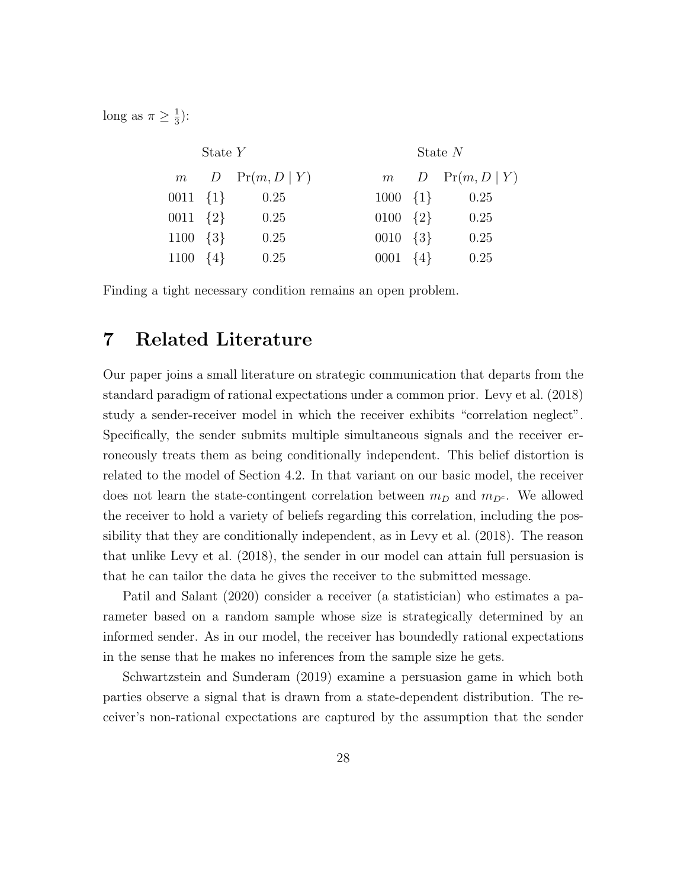long as  $\pi \geq \frac{1}{3}$  $\frac{1}{3}$ :

| State $Y$          |  |                        |                    | State $N$ |                    |  |
|--------------------|--|------------------------|--------------------|-----------|--------------------|--|
|                    |  | $m$ $D$ $Pr(m, D   Y)$ |                    |           | $m$ D Pr(m, D   Y) |  |
| $0011 \{1\}$       |  | 0.25                   | $1000 \{1\}$       |           | 0.25               |  |
| $0011 \quad \{2\}$ |  | 0.25                   | $0100 \quad \{2\}$ |           | 0.25               |  |
| $1100 \quad \{3\}$ |  | 0.25                   | $0010 \quad \{3\}$ |           | 0.25               |  |
| $1100 \quad \{4\}$ |  | 0.25                   | $0001 \quad \{4\}$ |           | 0.25               |  |

Finding a tight necessary condition remains an open problem.

### 7 Related Literature

Our paper joins a small literature on strategic communication that departs from the standard paradigm of rational expectations under a common prior. Levy et al. (2018) study a sender-receiver model in which the receiver exhibits "correlation neglect". Specifically, the sender submits multiple simultaneous signals and the receiver erroneously treats them as being conditionally independent. This belief distortion is related to the model of Section 4.2. In that variant on our basic model, the receiver does not learn the state-contingent correlation between  $m_D$  and  $m_{D<sup>c</sup>}$ . We allowed the receiver to hold a variety of beliefs regarding this correlation, including the possibility that they are conditionally independent, as in Levy et al. (2018). The reason that unlike Levy et al. (2018), the sender in our model can attain full persuasion is that he can tailor the data he gives the receiver to the submitted message.

Patil and Salant (2020) consider a receiver (a statistician) who estimates a parameter based on a random sample whose size is strategically determined by an informed sender. As in our model, the receiver has boundedly rational expectations in the sense that he makes no inferences from the sample size he gets.

Schwartzstein and Sunderam (2019) examine a persuasion game in which both parties observe a signal that is drawn from a state-dependent distribution. The receiver's non-rational expectations are captured by the assumption that the sender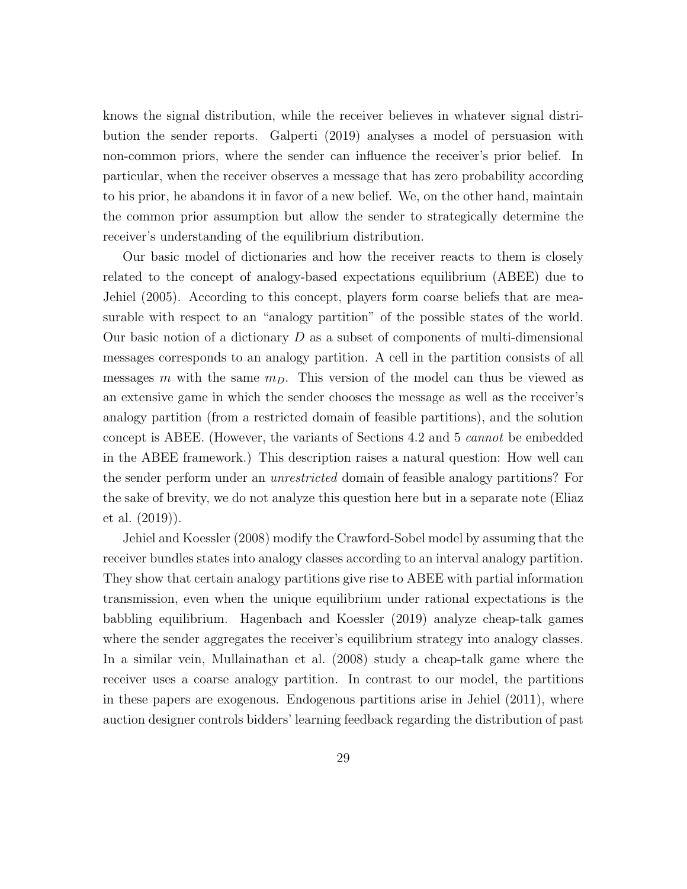knows the signal distribution, while the receiver believes in whatever signal distribution the sender reports. Galperti (2019) analyses a model of persuasion with non-common priors, where the sender can influence the receiver's prior belief. In particular, when the receiver observes a message that has zero probability according to his prior, he abandons it in favor of a new belief. We, on the other hand, maintain the common prior assumption but allow the sender to strategically determine the receiver's understanding of the equilibrium distribution.

Our basic model of dictionaries and how the receiver reacts to them is closely related to the concept of analogy-based expectations equilibrium (ABEE) due to Jehiel (2005). According to this concept, players form coarse beliefs that are measurable with respect to an "analogy partition" of the possible states of the world. Our basic notion of a dictionary  $D$  as a subset of components of multi-dimensional messages corresponds to an analogy partition. A cell in the partition consists of all messages m with the same  $m<sub>D</sub>$ . This version of the model can thus be viewed as an extensive game in which the sender chooses the message as well as the receiver's analogy partition (from a restricted domain of feasible partitions), and the solution concept is ABEE. (However, the variants of Sections 4.2 and 5 cannot be embedded in the ABEE framework.) This description raises a natural question: How well can the sender perform under an unrestricted domain of feasible analogy partitions? For the sake of brevity, we do not analyze this question here but in a separate note (Eliaz et al. (2019)).

Jehiel and Koessler (2008) modify the Crawford-Sobel model by assuming that the receiver bundles states into analogy classes according to an interval analogy partition. They show that certain analogy partitions give rise to ABEE with partial information transmission, even when the unique equilibrium under rational expectations is the babbling equilibrium. Hagenbach and Koessler (2019) analyze cheap-talk games where the sender aggregates the receiver's equilibrium strategy into analogy classes. In a similar vein, Mullainathan et al. (2008) study a cheap-talk game where the receiver uses a coarse analogy partition. In contrast to our model, the partitions in these papers are exogenous. Endogenous partitions arise in Jehiel (2011), where auction designer controls bidders' learning feedback regarding the distribution of past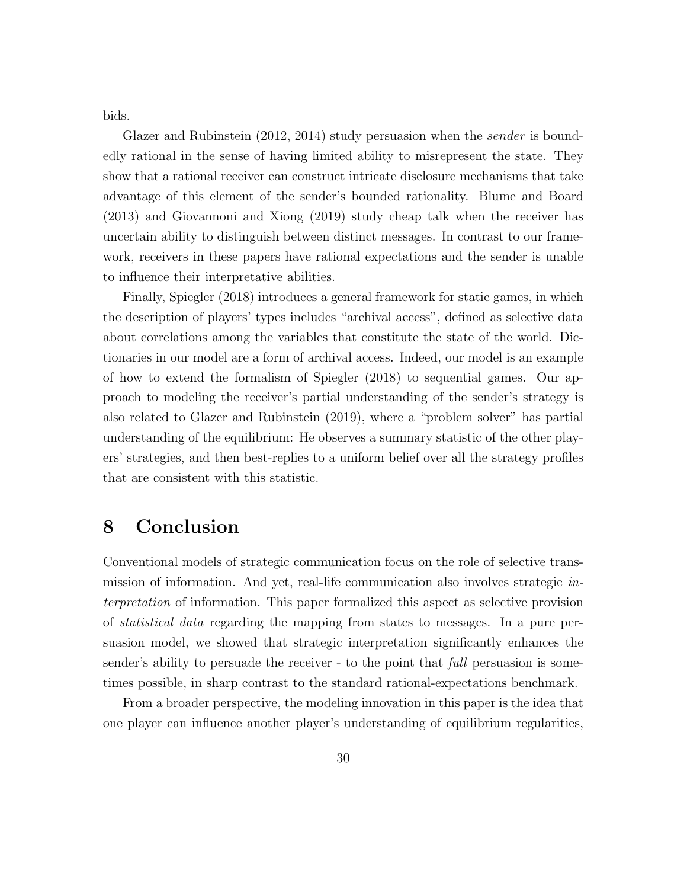bids.

Glazer and Rubinstein (2012, 2014) study persuasion when the *sender* is boundedly rational in the sense of having limited ability to misrepresent the state. They show that a rational receiver can construct intricate disclosure mechanisms that take advantage of this element of the sender's bounded rationality. Blume and Board (2013) and Giovannoni and Xiong (2019) study cheap talk when the receiver has uncertain ability to distinguish between distinct messages. In contrast to our framework, receivers in these papers have rational expectations and the sender is unable to influence their interpretative abilities.

Finally, Spiegler (2018) introduces a general framework for static games, in which the description of players' types includes "archival access", defined as selective data about correlations among the variables that constitute the state of the world. Dictionaries in our model are a form of archival access. Indeed, our model is an example of how to extend the formalism of Spiegler (2018) to sequential games. Our approach to modeling the receiver's partial understanding of the sender's strategy is also related to Glazer and Rubinstein (2019), where a "problem solver" has partial understanding of the equilibrium: He observes a summary statistic of the other players' strategies, and then best-replies to a uniform belief over all the strategy profiles that are consistent with this statistic.

# 8 Conclusion

Conventional models of strategic communication focus on the role of selective transmission of information. And yet, real-life communication also involves strategic interpretation of information. This paper formalized this aspect as selective provision of statistical data regarding the mapping from states to messages. In a pure persuasion model, we showed that strategic interpretation significantly enhances the sender's ability to persuade the receiver - to the point that *full* persuasion is sometimes possible, in sharp contrast to the standard rational-expectations benchmark.

From a broader perspective, the modeling innovation in this paper is the idea that one player can influence another player's understanding of equilibrium regularities,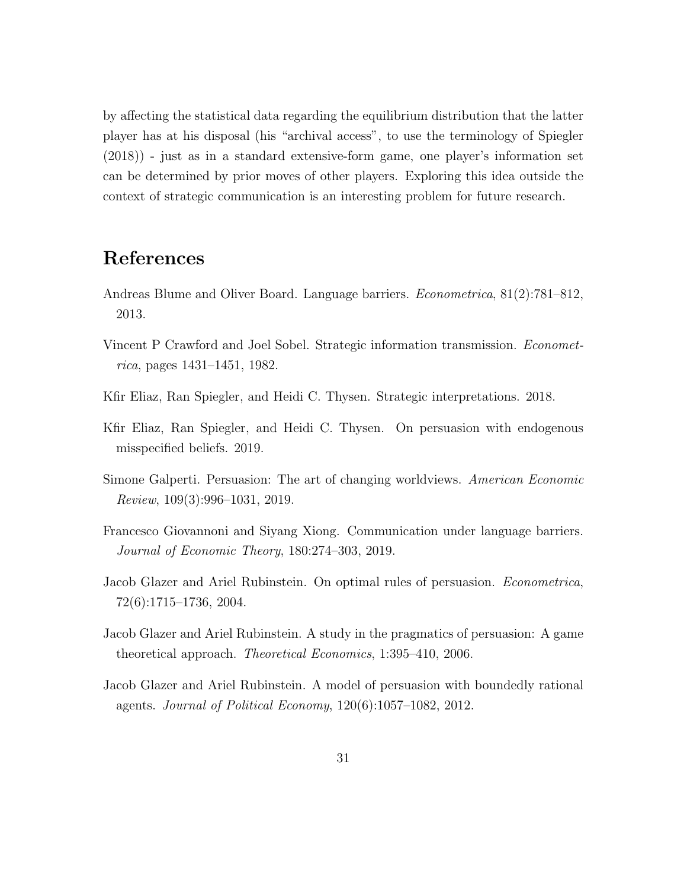by affecting the statistical data regarding the equilibrium distribution that the latter player has at his disposal (his "archival access", to use the terminology of Spiegler (2018)) - just as in a standard extensive-form game, one player's information set can be determined by prior moves of other players. Exploring this idea outside the context of strategic communication is an interesting problem for future research.

## References

- Andreas Blume and Oliver Board. Language barriers. Econometrica, 81(2):781–812, 2013.
- Vincent P Crawford and Joel Sobel. Strategic information transmission. Econometrica, pages 1431–1451, 1982.
- Kfir Eliaz, Ran Spiegler, and Heidi C. Thysen. Strategic interpretations. 2018.
- Kfir Eliaz, Ran Spiegler, and Heidi C. Thysen. On persuasion with endogenous misspecified beliefs. 2019.
- Simone Galperti. Persuasion: The art of changing worldviews. American Economic Review, 109(3):996–1031, 2019.
- Francesco Giovannoni and Siyang Xiong. Communication under language barriers. Journal of Economic Theory, 180:274–303, 2019.
- Jacob Glazer and Ariel Rubinstein. On optimal rules of persuasion. Econometrica, 72(6):1715–1736, 2004.
- Jacob Glazer and Ariel Rubinstein. A study in the pragmatics of persuasion: A game theoretical approach. Theoretical Economics, 1:395–410, 2006.
- Jacob Glazer and Ariel Rubinstein. A model of persuasion with boundedly rational agents. Journal of Political Economy, 120(6):1057–1082, 2012.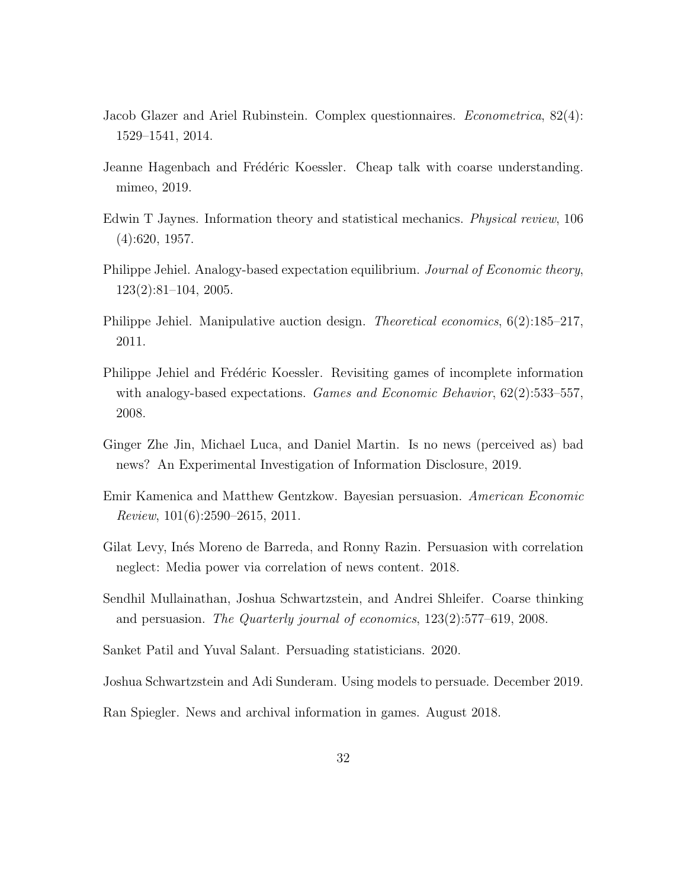- Jacob Glazer and Ariel Rubinstein. Complex questionnaires. Econometrica, 82(4): 1529–1541, 2014.
- Jeanne Hagenbach and Frédéric Koessler. Cheap talk with coarse understanding. mimeo, 2019.
- Edwin T Jaynes. Information theory and statistical mechanics. Physical review, 106 (4):620, 1957.
- Philippe Jehiel. Analogy-based expectation equilibrium. Journal of Economic theory, 123(2):81–104, 2005.
- Philippe Jehiel. Manipulative auction design. *Theoretical economics*, 6(2):185–217, 2011.
- Philippe Jehiel and Frédéric Koessler. Revisiting games of incomplete information with analogy-based expectations. *Games and Economic Behavior*, 62(2):533–557, 2008.
- Ginger Zhe Jin, Michael Luca, and Daniel Martin. Is no news (perceived as) bad news? An Experimental Investigation of Information Disclosure, 2019.
- Emir Kamenica and Matthew Gentzkow. Bayesian persuasion. American Economic Review, 101(6):2590–2615, 2011.
- Gilat Levy, Inés Moreno de Barreda, and Ronny Razin. Persuasion with correlation neglect: Media power via correlation of news content. 2018.
- Sendhil Mullainathan, Joshua Schwartzstein, and Andrei Shleifer. Coarse thinking and persuasion. The Quarterly journal of economics, 123(2):577–619, 2008.
- Sanket Patil and Yuval Salant. Persuading statisticians. 2020.

Joshua Schwartzstein and Adi Sunderam. Using models to persuade. December 2019.

Ran Spiegler. News and archival information in games. August 2018.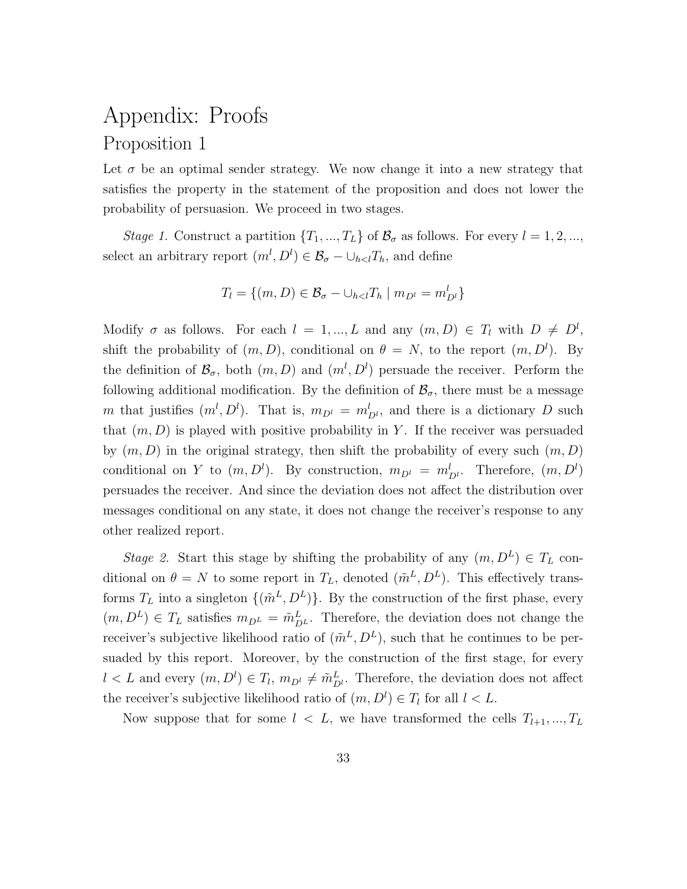# Appendix: Proofs Proposition 1

Let  $\sigma$  be an optimal sender strategy. We now change it into a new strategy that satisfies the property in the statement of the proposition and does not lower the probability of persuasion. We proceed in two stages.

Stage 1. Construct a partition  $\{T_1, ..., T_L\}$  of  $\mathcal{B}_{\sigma}$  as follows. For every  $l = 1, 2, ...,$ select an arbitrary report  $(m^l, D^l) \in \mathcal{B}_{\sigma} - \bigcup_{h < l} T_h$ , and define

$$
T_l = \{(m, D) \in \mathcal{B}_{\sigma} - \bigcup_{h < l} T_h \mid m_{D^l} = m_{D^l}^l\}
$$

Modify  $\sigma$  as follows. For each  $l = 1, ..., L$  and any  $(m, D) \in T_l$  with  $D \neq D^l$ , shift the probability of  $(m, D)$ , conditional on  $\theta = N$ , to the report  $(m, D^l)$ . By the definition of  $\mathcal{B}_{\sigma}$ , both  $(m, D)$  and  $(m^l, D^l)$  persuade the receiver. Perform the following additional modification. By the definition of  $\mathcal{B}_{\sigma}$ , there must be a message m that justifies  $(m^l, D^l)$ . That is,  $m_{D^l} = m_{D^l}^l$ , and there is a dictionary D such that  $(m, D)$  is played with positive probability in Y. If the receiver was persuaded by  $(m, D)$  in the original strategy, then shift the probability of every such  $(m, D)$ conditional on Y to  $(m, D^l)$ . By construction,  $m_{D^l} = m_{D^l}^l$ . Therefore,  $(m, D^l)$ persuades the receiver. And since the deviation does not affect the distribution over messages conditional on any state, it does not change the receiver's response to any other realized report.

Stage 2. Start this stage by shifting the probability of any  $(m, D<sup>L</sup>) \in T<sub>L</sub>$  conditional on  $\theta = N$  to some report in  $T_L$ , denoted  $(\tilde{m}^L, D^L)$ . This effectively transforms  $T_L$  into a singleton  $\{(\tilde{m}^L, D^L)\}\$ . By the construction of the first phase, every  $(m, D^L) \in T_L$  satisfies  $m_{D^L} = \tilde{m}_{D^L}^L$ . Therefore, the deviation does not change the receiver's subjective likelihood ratio of  $(\tilde{m}^L, D^L)$ , such that he continues to be persuaded by this report. Moreover, by the construction of the first stage, for every  $l < L$  and every  $(m, D^l) \in T_l$ ,  $m_{D^l} \neq \tilde{m}_{D^l}^L$ . Therefore, the deviation does not affect the receiver's subjective likelihood ratio of  $(m, D<sup>l</sup>) \in T<sub>l</sub>$  for all  $l < L$ .

Now suppose that for some  $l < L$ , we have transformed the cells  $T_{l+1},...,T_L$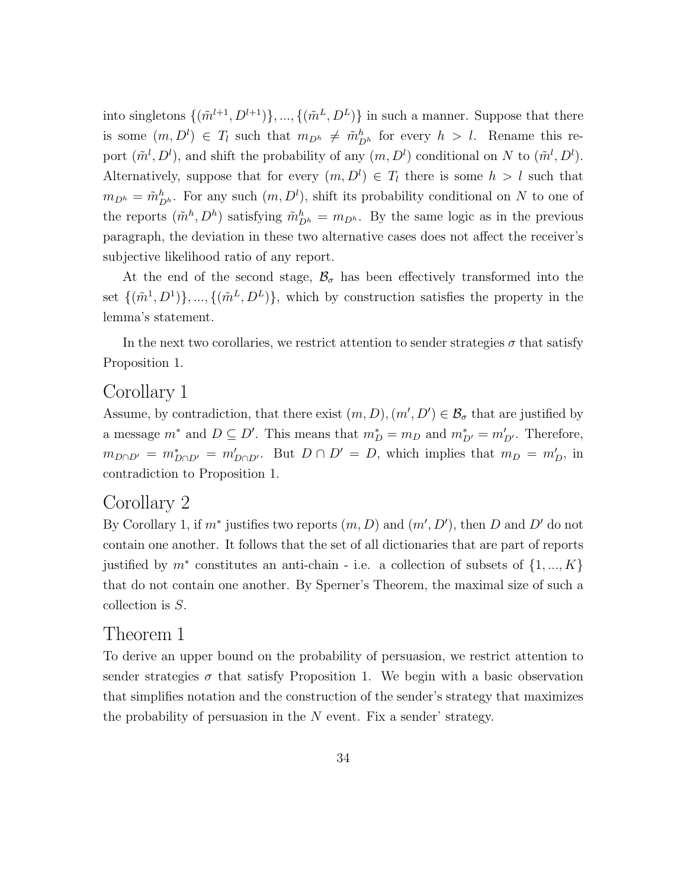into singletons  $\{(\tilde{m}^{l+1}, D^{l+1})\}, ..., \{(\tilde{m}^L, D^L)\}\$ in such a manner. Suppose that there is some  $(m, D<sup>l</sup>) \in T_l$  such that  $m_{D<sup>h</sup>} \neq \tilde{m}_{D<sup>h</sup>}^h$  for every  $h > l$ . Rename this report  $(\tilde{m}^l, D^l)$ , and shift the probability of any  $(m, D^l)$  conditional on N to  $(\tilde{m}^l, D^l)$ . Alternatively, suppose that for every  $(m, D<sup>l</sup>) \in T<sub>l</sub>$  there is some  $h > l$  such that  $m_{D^h} = \tilde{m}_{D^h}^h$ . For any such  $(m, D^l)$ , shift its probability conditional on N to one of the reports  $(\tilde{m}^h, D^h)$  satisfying  $\tilde{m}_{D^h}^h = m_{D^h}$ . By the same logic as in the previous paragraph, the deviation in these two alternative cases does not affect the receiver's subjective likelihood ratio of any report.

At the end of the second stage,  $\mathcal{B}_{\sigma}$  has been effectively transformed into the set  $\{(\tilde{m}^1, D^1)\}, \dots, \{(\tilde{m}^L, D^L)\}\$ , which by construction satisfies the property in the lemma's statement.

In the next two corollaries, we restrict attention to sender strategies  $\sigma$  that satisfy Proposition 1.

### Corollary 1

Assume, by contradiction, that there exist  $(m, D), (m', D') \in \mathcal{B}_{\sigma}$  that are justified by a message  $m^*$  and  $D \subseteq D'$ . This means that  $m_D^* = m_D$  and  $m_{D'}^* = m_{D'}'$ . Therefore,  $m_{D\cap D'} = m_{D\cap D'}^* = m_{D\cap D'}'$ . But  $D \cap D' = D$ , which implies that  $m_D = m_D'$ , in contradiction to Proposition 1.

### Corollary 2

By Corollary 1, if  $m^*$  justifies two reports  $(m, D)$  and  $(m', D')$ , then D and D' do not contain one another. It follows that the set of all dictionaries that are part of reports justified by  $m^*$  constitutes an anti-chain - i.e. a collection of subsets of  $\{1, ..., K\}$ that do not contain one another. By Sperner's Theorem, the maximal size of such a collection is S.

### Theorem 1

To derive an upper bound on the probability of persuasion, we restrict attention to sender strategies  $\sigma$  that satisfy Proposition 1. We begin with a basic observation that simplifies notation and the construction of the sender's strategy that maximizes the probability of persuasion in the  $N$  event. Fix a sender' strategy.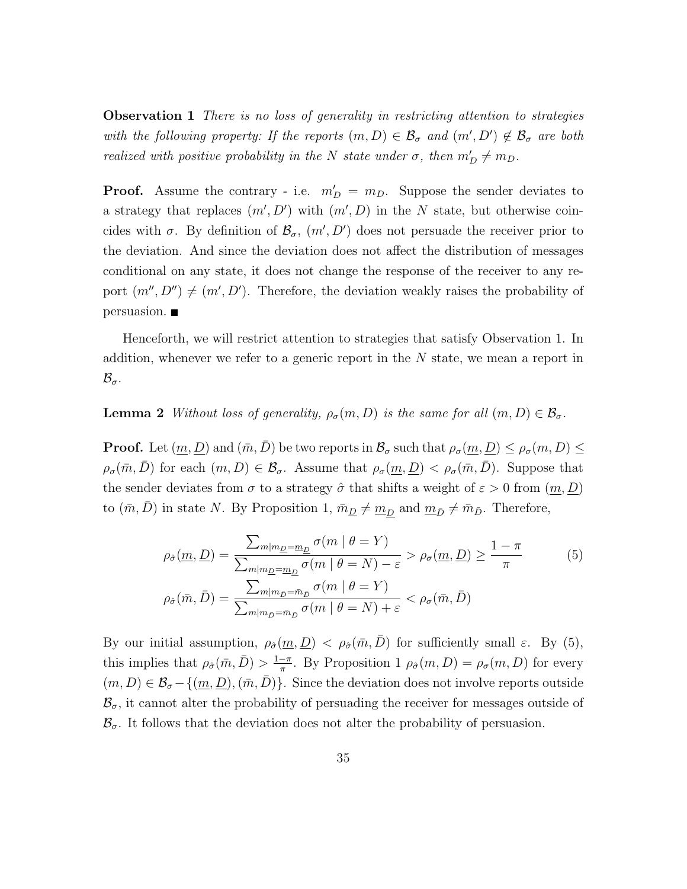Observation 1 There is no loss of generality in restricting attention to strategies with the following property: If the reports  $(m, D) \in \mathcal{B}_{\sigma}$  and  $(m', D') \notin \mathcal{B}_{\sigma}$  are both realized with positive probability in the N state under  $\sigma$ , then  $m'_D \neq m_D$ .

**Proof.** Assume the contrary - i.e.  $m'_D = m_D$ . Suppose the sender deviates to a strategy that replaces  $(m', D')$  with  $(m', D)$  in the N state, but otherwise coincides with  $\sigma$ . By definition of  $\mathcal{B}_{\sigma}$ ,  $(m', D')$  does not persuade the receiver prior to the deviation. And since the deviation does not affect the distribution of messages conditional on any state, it does not change the response of the receiver to any report  $(m'', D'') \neq (m', D')$ . Therefore, the deviation weakly raises the probability of persuasion.

Henceforth, we will restrict attention to strategies that satisfy Observation 1. In addition, whenever we refer to a generic report in the N state, we mean a report in  $\mathcal{B}_{\sigma}$ .

#### **Lemma 2** Without loss of generality,  $\rho_{\sigma}(m, D)$  is the same for all  $(m, D) \in \mathcal{B}_{\sigma}$ .

**Proof.** Let  $(\underline{m}, \underline{D})$  and  $(\bar{m}, \bar{D})$  be two reports in  $\mathcal{B}_{\sigma}$  such that  $\rho_{\sigma}(\underline{m}, \underline{D}) \leq \rho_{\sigma}(m, D) \leq$  $\rho_{\sigma}(\bar{m}, \bar{D})$  for each  $(m, D) \in \mathcal{B}_{\sigma}$ . Assume that  $\rho_{\sigma}(\underline{m}, \underline{D}) < \rho_{\sigma}(\bar{m}, \bar{D})$ . Suppose that the sender deviates from  $\sigma$  to a strategy  $\hat{\sigma}$  that shifts a weight of  $\varepsilon > 0$  from  $(\underline{m}, \underline{D})$ to  $(\bar{m}, \bar{D})$  in state N. By Proposition 1,  $\bar{m}_{\underline{D}} \neq \underline{m}_{\underline{D}}$  and  $\underline{m}_{\bar{D}} \neq \bar{m}_{\bar{D}}$ . Therefore,

$$
\rho_{\hat{\sigma}}(\underline{m}, \underline{D}) = \frac{\sum_{m|m_{\underline{D}} = \underline{m}_{\underline{D}}} \sigma(m \mid \theta = Y)}{\sum_{m|m_{\underline{D}} = \underline{m}_{\underline{D}}} \sigma(m \mid \theta = N) - \varepsilon} > \rho_{\sigma}(\underline{m}, \underline{D}) \ge \frac{1 - \pi}{\pi}
$$
(5)  

$$
\rho_{\hat{\sigma}}(\bar{m}, \bar{D}) = \frac{\sum_{m|m_{\bar{D}} = \bar{m}_{\bar{D}}} \sigma(m \mid \theta = Y)}{\sum_{m|m_{\bar{D}} = \bar{m}_{\bar{D}}} \sigma(m \mid \theta = N) + \varepsilon} < \rho_{\sigma}(\bar{m}, \bar{D})
$$

By our initial assumption,  $\rho_{\hat{\sigma}}(m, D) < \rho_{\hat{\sigma}}(\bar{m}, \bar{D})$  for sufficiently small  $\varepsilon$ . By (5), this implies that  $\rho_{\hat{\sigma}}(\bar{m}, \bar{D}) > \frac{1-\pi}{\pi}$  $\frac{-\pi}{\pi}$ . By Proposition 1  $\rho_{\hat{\sigma}}(m, D) = \rho_{\sigma}(m, D)$  for every  $(m, D) \in \mathcal{B}_{\sigma} - \{(\underline{m}, \underline{D}), (\overline{m}, \overline{D})\}.$  Since the deviation does not involve reports outside  $\mathcal{B}_{\sigma}$ , it cannot alter the probability of persuading the receiver for messages outside of  $\mathcal{B}_{\sigma}$ . It follows that the deviation does not alter the probability of persuasion.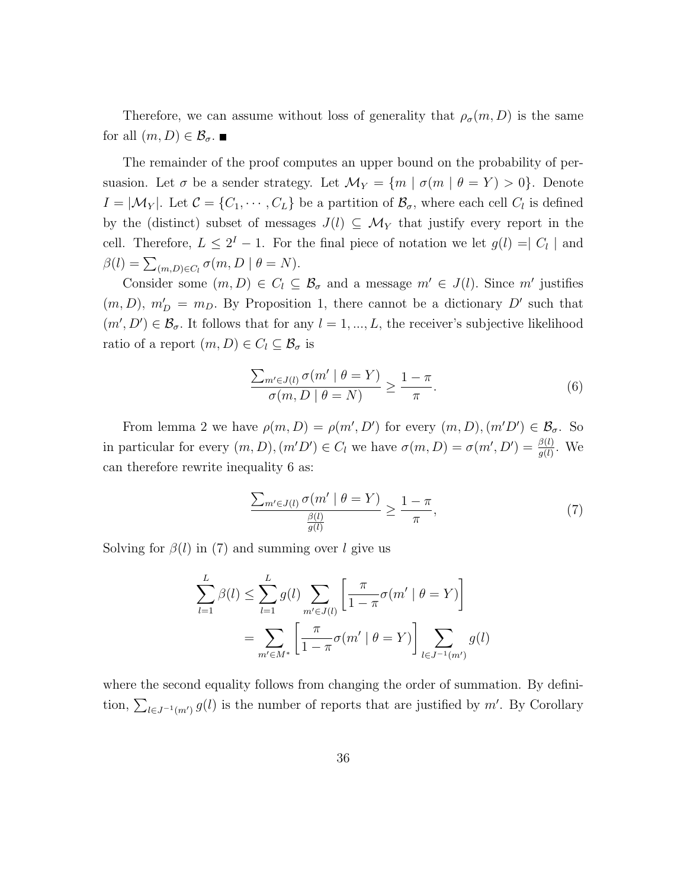Therefore, we can assume without loss of generality that  $\rho_{\sigma}(m, D)$  is the same for all  $(m, D) \in \mathcal{B}_{\sigma}$ .

The remainder of the proof computes an upper bound on the probability of persuasion. Let  $\sigma$  be a sender strategy. Let  $\mathcal{M}_Y = \{m \mid \sigma(m \mid \theta = Y) > 0\}$ . Denote  $I = |\mathcal{M}_Y|$ . Let  $\mathcal{C} = \{C_1, \cdots, C_L\}$  be a partition of  $\mathcal{B}_{\sigma}$ , where each cell  $C_l$  is defined by the (distinct) subset of messages  $J(l) \subseteq \mathcal{M}_Y$  that justify every report in the cell. Therefore,  $L \leq 2^I - 1$ . For the final piece of notation we let  $g(l) = |C_l|$  and  $\beta(l) = \sum_{(m,D)\in C_l} \sigma(m, D \mid \theta = N).$ 

Consider some  $(m, D) \in C_l \subseteq \mathcal{B}_{\sigma}$  and a message  $m' \in J(l)$ . Since m' justifies  $(m, D)$ ,  $m'_D = m_D$ . By Proposition 1, there cannot be a dictionary D' such that  $(m', D') \in \mathcal{B}_{\sigma}$ . It follows that for any  $l = 1, ..., L$ , the receiver's subjective likelihood ratio of a report  $(m, D) \in C_l \subseteq \mathcal{B}_{\sigma}$  is

$$
\frac{\sum_{m' \in J(l)} \sigma(m' \mid \theta = Y)}{\sigma(m, D \mid \theta = N)} \ge \frac{1 - \pi}{\pi}.
$$
\n(6)

From lemma 2 we have  $\rho(m, D) = \rho(m', D')$  for every  $(m, D), (m'D') \in \mathcal{B}_{\sigma}$ . So in particular for every  $(m, D), (m'D') \in C_l$  we have  $\sigma(m, D) = \sigma(m', D') = \frac{\beta(l)}{g(l)}$ . We can therefore rewrite inequality 6 as:

$$
\frac{\sum_{m' \in J(l)} \sigma(m' \mid \theta = Y)}{\frac{\beta(l)}{g(l)}} \ge \frac{1 - \pi}{\pi},\tag{7}
$$

Solving for  $\beta(l)$  in (7) and summing over l give us

$$
\sum_{l=1}^{L} \beta(l) \le \sum_{l=1}^{L} g(l) \sum_{m' \in J(l)} \left[ \frac{\pi}{1 - \pi} \sigma(m' \mid \theta = Y) \right]
$$

$$
= \sum_{m' \in M^*} \left[ \frac{\pi}{1 - \pi} \sigma(m' \mid \theta = Y) \right] \sum_{l \in J^{-1}(m')} g(l)
$$

where the second equality follows from changing the order of summation. By definition,  $\sum_{l\in J^{-1}(m')} g(l)$  is the number of reports that are justified by m'. By Corollary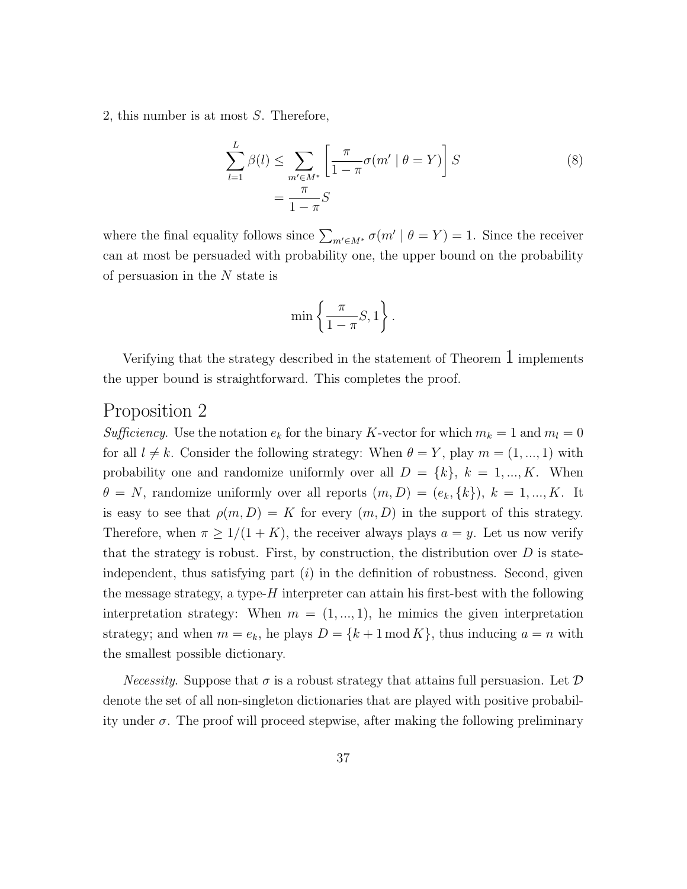2, this number is at most S. Therefore,

$$
\sum_{l=1}^{L} \beta(l) \le \sum_{m' \in M^*} \left[ \frac{\pi}{1 - \pi} \sigma(m' \mid \theta = Y) \right] S
$$
\n
$$
= \frac{\pi}{1 - \pi} S
$$
\n(8)

where the final equality follows since  $\sum_{m'\in M^*} \sigma(m' \mid \theta = Y) = 1$ . Since the receiver can at most be persuaded with probability one, the upper bound on the probability of persuasion in the  $N$  state is

$$
\min\left\{\frac{\pi}{1-\pi}S,1\right\}.
$$

Verifying that the strategy described in the statement of Theorem  $\perp$  implements the upper bound is straightforward. This completes the proof.

### Proposition 2

Sufficiency. Use the notation  $e_k$  for the binary K-vector for which  $m_k = 1$  and  $m_l = 0$ for all  $l \neq k$ . Consider the following strategy: When  $\theta = Y$ , play  $m = (1, ..., 1)$  with probability one and randomize uniformly over all  $D = \{k\}, k = 1, ..., K$ . When  $\theta = N$ , randomize uniformly over all reports  $(m, D) = (e_k, \{k\}), k = 1, ..., K$ . It is easy to see that  $\rho(m, D) = K$  for every  $(m, D)$  in the support of this strategy. Therefore, when  $\pi \geq 1/(1+K)$ , the receiver always plays  $a = y$ . Let us now verify that the strategy is robust. First, by construction, the distribution over  $D$  is stateindependent, thus satisfying part  $(i)$  in the definition of robustness. Second, given the message strategy, a type- $H$  interpreter can attain his first-best with the following interpretation strategy: When  $m = (1, ..., 1)$ , he mimics the given interpretation strategy; and when  $m = e_k$ , he plays  $D = \{k+1 \mod K\}$ , thus inducing  $a = n$  with the smallest possible dictionary.

*Necessity.* Suppose that  $\sigma$  is a robust strategy that attains full persuasion. Let  $\mathcal D$ denote the set of all non-singleton dictionaries that are played with positive probability under  $\sigma$ . The proof will proceed stepwise, after making the following preliminary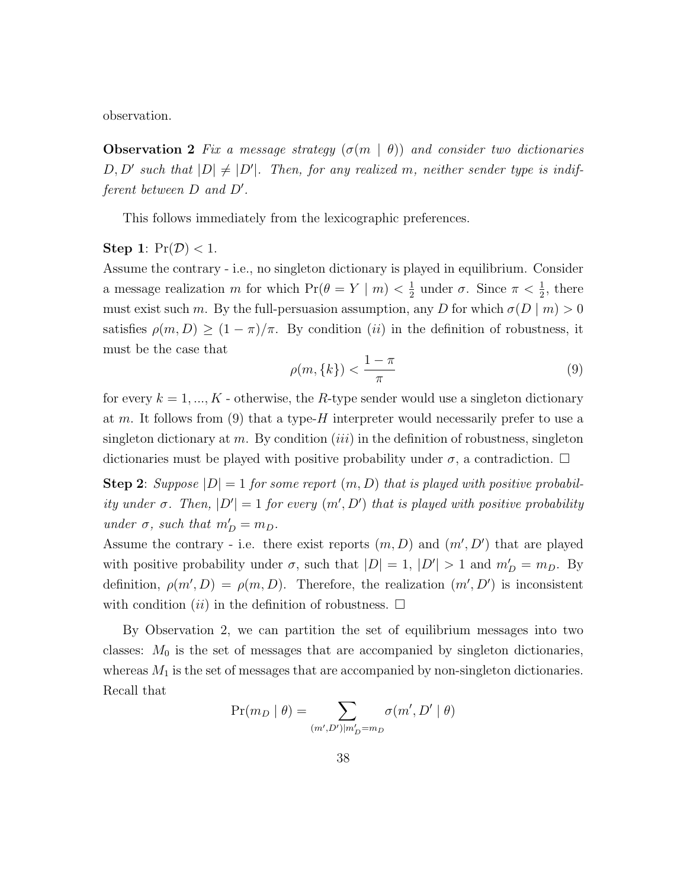observation.

**Observation 2** Fix a message strategy  $(\sigma(m \mid \theta))$  and consider two dictionaries  $D, D'$  such that  $|D| \neq |D'|$ . Then, for any realized m, neither sender type is indifferent between  $D$  and  $D'$ .

This follows immediately from the lexicographic preferences.

#### Step 1:  $Pr(\mathcal{D}) < 1$ .

Assume the contrary - i.e., no singleton dictionary is played in equilibrium. Consider a message realization m for which  $Pr(\theta = Y | m) < \frac{1}{2}$  $\frac{1}{2}$  under  $\sigma$ . Since  $\pi < \frac{1}{2}$ , there must exist such m. By the full-persuasion assumption, any D for which  $\sigma(D \mid m) > 0$ satisfies  $\rho(m, D) \ge (1 - \pi)/\pi$ . By condition *(ii)* in the definition of robustness, it must be the case that

$$
\rho(m,\{k\}) < \frac{1-\pi}{\pi} \tag{9}
$$

for every  $k = 1, ..., K$  - otherwise, the R-type sender would use a singleton dictionary at m. It follows from  $(9)$  that a type-H interpreter would necessarily prefer to use a singleton dictionary at m. By condition (*iii*) in the definition of robustness, singleton dictionaries must be played with positive probability under  $\sigma$ , a contradiction.  $\Box$ 

**Step 2:** Suppose  $|D| = 1$  for some report  $(m, D)$  that is played with positive probability under  $\sigma$ . Then,  $|D'| = 1$  for every  $(m', D')$  that is played with positive probability under  $\sigma$ , such that  $m'_D = m_D$ .

Assume the contrary - i.e. there exist reports  $(m, D)$  and  $(m', D')$  that are played with positive probability under  $\sigma$ , such that  $|D| = 1$ ,  $|D'| > 1$  and  $m'_D = m_D$ . By definition,  $\rho(m', D) = \rho(m, D)$ . Therefore, the realization  $(m', D')$  is inconsistent with condition (ii) in the definition of robustness.  $\Box$ 

By Observation 2, we can partition the set of equilibrium messages into two classes:  $M_0$  is the set of messages that are accompanied by singleton dictionaries, whereas  $M_1$  is the set of messages that are accompanied by non-singleton dictionaries. Recall that

$$
\Pr(m_D \mid \theta) = \sum_{(m',D') \mid m'_D = m_D} \sigma(m', D' \mid \theta)
$$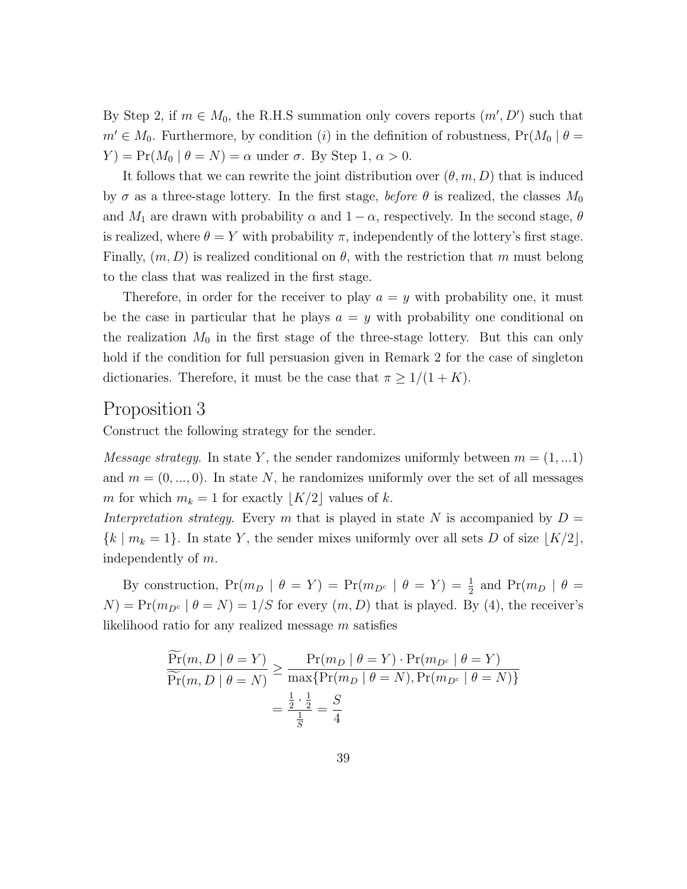By Step 2, if  $m \in M_0$ , the R.H.S summation only covers reports  $(m', D')$  such that  $m' \in M_0$ . Furthermore, by condition (i) in the definition of robustness,  $Pr(M_0 | \theta =$  $Y$ ) = Pr( $M_0 | \theta = N$ ) =  $\alpha$  under  $\sigma$ . By Step 1,  $\alpha > 0$ .

It follows that we can rewrite the joint distribution over  $(\theta, m, D)$  that is induced by  $\sigma$  as a three-stage lottery. In the first stage, before  $\theta$  is realized, the classes  $M_0$ and  $M_1$  are drawn with probability  $\alpha$  and  $1 - \alpha$ , respectively. In the second stage,  $\theta$ is realized, where  $\theta = Y$  with probability  $\pi$ , independently of the lottery's first stage. Finally,  $(m, D)$  is realized conditional on  $\theta$ , with the restriction that m must belong to the class that was realized in the first stage.

Therefore, in order for the receiver to play  $a = y$  with probability one, it must be the case in particular that he plays  $a = y$  with probability one conditional on the realization  $M_0$  in the first stage of the three-stage lottery. But this can only hold if the condition for full persuasion given in Remark 2 for the case of singleton dictionaries. Therefore, it must be the case that  $\pi \geq 1/(1+K)$ .

#### Proposition 3

Construct the following strategy for the sender.

*Message strategy.* In state Y, the sender randomizes uniformly between  $m = (1, ...1)$ and  $m = (0, \ldots, 0)$ . In state N, he randomizes uniformly over the set of all messages m for which  $m_k = 1$  for exactly  $\lfloor K/2 \rfloor$  values of k.

Interpretation strategy. Every m that is played in state N is accompanied by  $D =$  ${k \mid m_k = 1}$ . In state Y, the sender mixes uniformly over all sets D of size  $\lfloor K/2 \rfloor$ , independently of m.

By construction,  $Pr(m_D | \theta = Y) = Pr(m_{D^c} | \theta = Y) = \frac{1}{2}$  and  $Pr(m_D | \theta = Y)$  $N$ ) = Pr( $m_{D^c}$  |  $\theta = N$ ) = 1/S for every  $(m, D)$  that is played. By (4), the receiver's likelihood ratio for any realized message m satisfies

$$
\frac{\widetilde{\Pr}(m, D \mid \theta = Y)}{\widetilde{\Pr}(m, D \mid \theta = N)} \ge \frac{\Pr(m_D \mid \theta = Y) \cdot \Pr(m_{D^c} \mid \theta = Y)}{\max\{\Pr(m_D \mid \theta = N), \Pr(m_{D^c} \mid \theta = N)\}} \\
= \frac{\frac{1}{2} \cdot \frac{1}{2}}{\frac{1}{S}} = \frac{S}{4}
$$